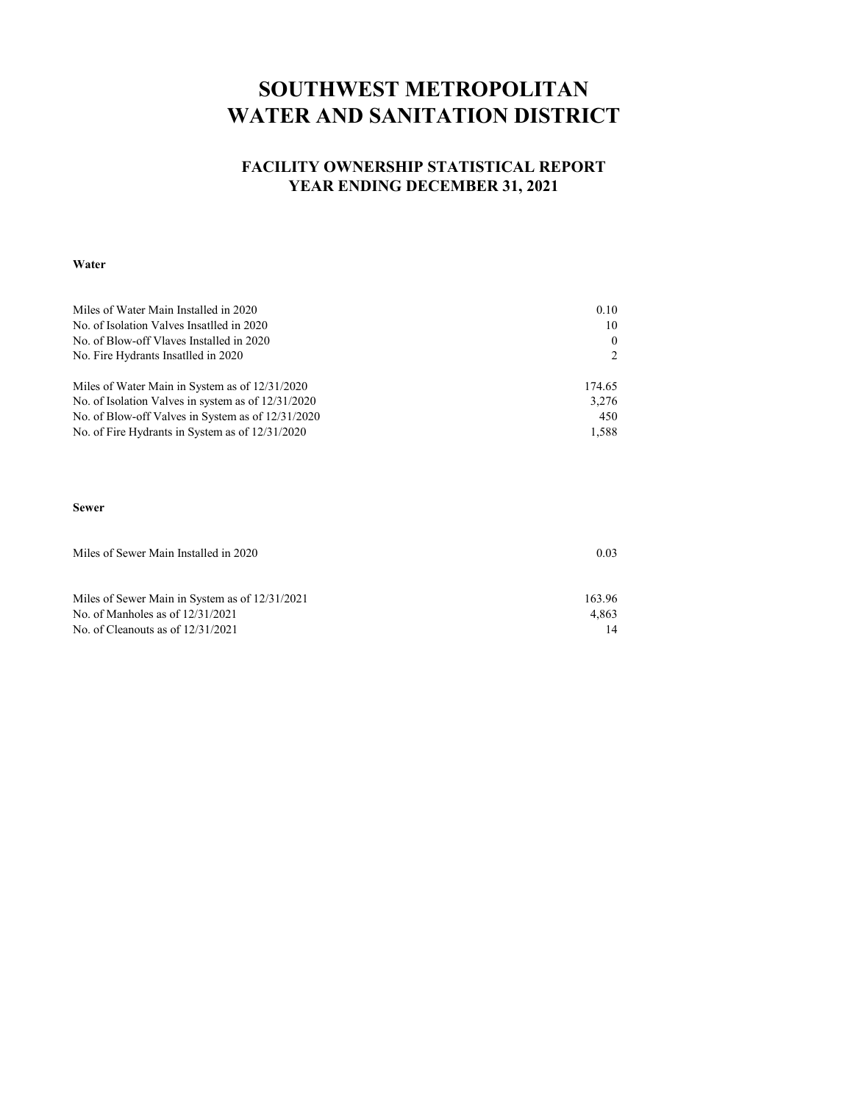## **SOUTHWEST METROPOLITAN WATER AND SANITATION DISTRICT**

#### **FACILITY OWNERSHIP STATISTICAL REPORT YEAR ENDING DECEMBER 31, 2021**

#### **Water**

| Miles of Water Main Installed in 2020              | 0.10   |
|----------------------------------------------------|--------|
| No. of Isolation Valves Insatlled in 2020          | 10     |
| No. of Blow-off Vlaves Installed in 2020           | 0      |
| No. Fire Hydrants Insatlled in 2020                |        |
| Miles of Water Main in System as of 12/31/2020     | 174.65 |
| No. of Isolation Valves in system as of 12/31/2020 | 3,276  |
| No. of Blow-off Valves in System as of 12/31/2020  | 450    |
| No. of Fire Hydrants in System as of 12/31/2020    | 1,588  |

#### **Sewer**

| Miles of Sewer Main Installed in 2020          | 0.03   |
|------------------------------------------------|--------|
|                                                |        |
| Miles of Sewer Main in System as of 12/31/2021 | 163.96 |
| No. of Manholes as of $12/31/2021$             | 4.863  |
| No. of Cleanouts as of $12/31/2021$            |        |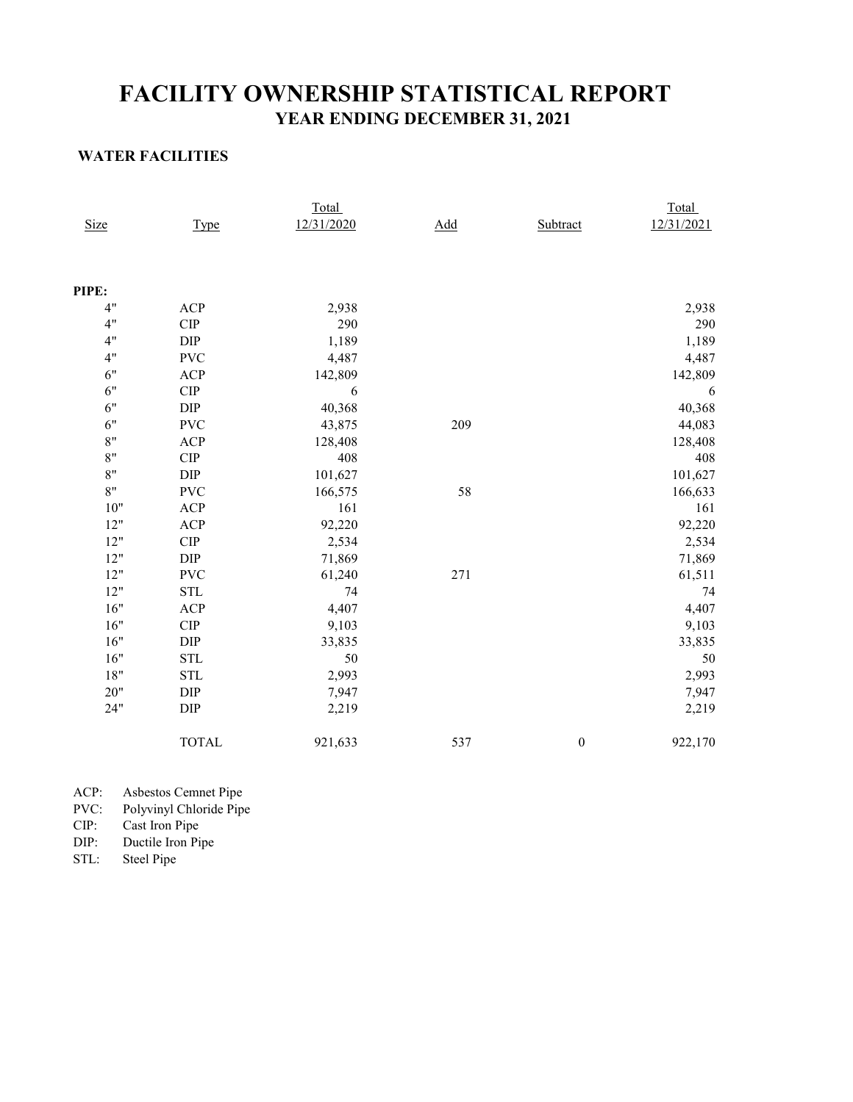### **YEAR ENDING DECEMBER 31, 2021 FACILITY OWNERSHIP STATISTICAL REPORT**

#### **WATER FACILITIES**

|             |                              | Total      |     |                  | Total      |
|-------------|------------------------------|------------|-----|------------------|------------|
| <b>Size</b> | <b>Type</b>                  | 12/31/2020 | Add | Subtract         | 12/31/2021 |
|             |                              |            |     |                  |            |
|             |                              |            |     |                  |            |
| PIPE:       |                              |            |     |                  |            |
| 4"          | ACP                          | 2,938      |     |                  | 2,938      |
| 4"          | CIP                          | 290        |     |                  | 290        |
| 4"          | DIP                          | 1,189      |     |                  | 1,189      |
| 4"          | <b>PVC</b>                   | 4,487      |     |                  | 4,487      |
| 6"          | ACP                          | 142,809    |     |                  | 142,809    |
| 6"          | CIP                          | 6          |     |                  | 6          |
| 6"          | DIP                          | 40,368     |     |                  | 40,368     |
| 6"          | <b>PVC</b>                   | 43,875     | 209 |                  | 44,083     |
| 8"          | ACP                          | 128,408    |     |                  | 128,408    |
| 8"          | ${\cal C} {\cal I} {\cal P}$ | 408        |     |                  | 408        |
| 8"          | $\rm DIP$                    | 101,627    |     |                  | 101,627    |
| 8"          | <b>PVC</b>                   | 166,575    | 58  |                  | 166,633    |
| $10"$       | ACP                          | 161        |     |                  | 161        |
| 12"         | ACP                          | 92,220     |     |                  | 92,220     |
| 12"         | ${\cal C} {\cal I} {\cal P}$ | 2,534      |     |                  | 2,534      |
| 12"         | DIP                          | 71,869     |     |                  | 71,869     |
| 12"         | <b>PVC</b>                   | 61,240     | 271 |                  | 61,511     |
| 12"         | <b>STL</b>                   | 74         |     |                  | $74\,$     |
| 16"         | ACP                          | 4,407      |     |                  | 4,407      |
| 16"         | ${\cal C} {\cal I} {\cal P}$ | 9,103      |     |                  | 9,103      |
| 16"         | DIP                          | 33,835     |     |                  | 33,835     |
| 16"         | <b>STL</b>                   | 50         |     |                  | 50         |
| 18"         | <b>STL</b>                   | 2,993      |     |                  | 2,993      |
| 20"         | DIP                          | 7,947      |     |                  | 7,947      |
| 24"         | DIP                          | 2,219      |     |                  | 2,219      |
|             | <b>TOTAL</b>                 | 921,633    | 537 | $\boldsymbol{0}$ | 922,170    |
|             |                              |            |     |                  |            |

| ACP: | Asbestos Cemnet Pipe |  |  |
|------|----------------------|--|--|
|------|----------------------|--|--|

PVC: Polyvinyl Chloride Pipe

CIP: Cast Iron Pipe

DIP: Ductile Iron Pipe<br>STL: Steel Pipe

Steel Pipe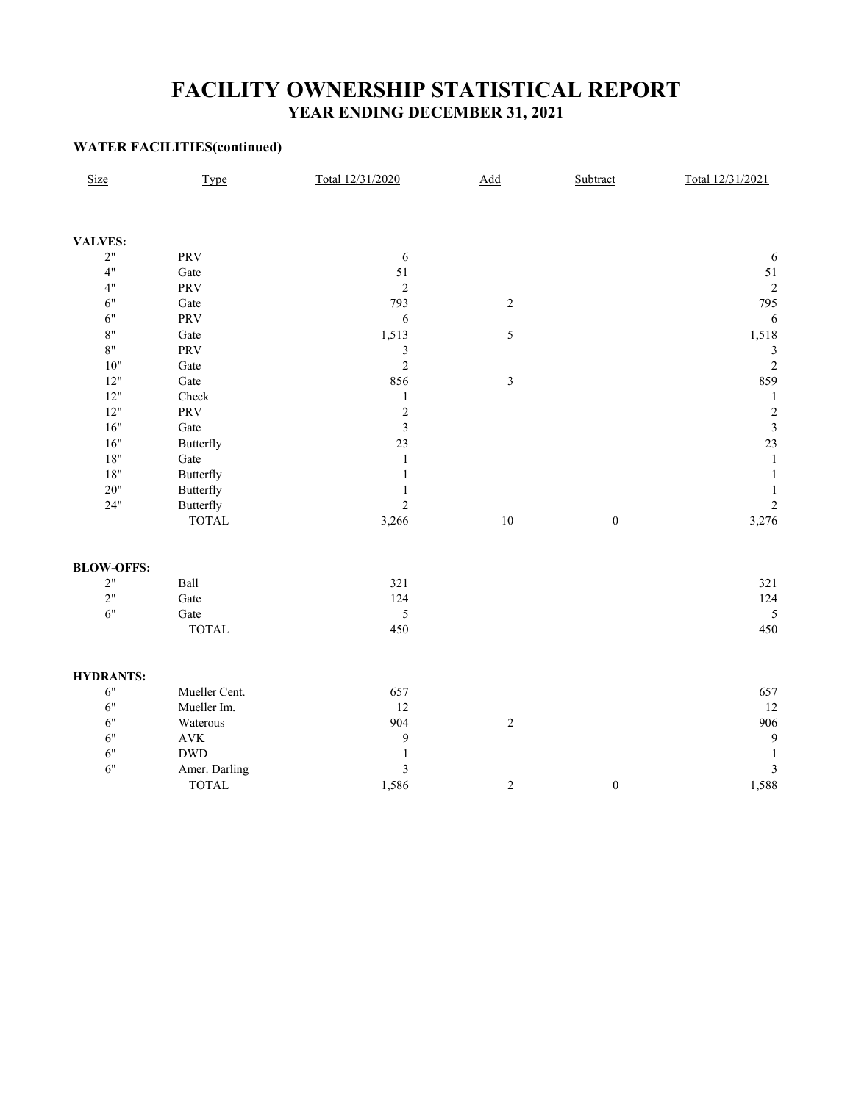### **FACILITY OWNERSHIP STATISTICAL REPORT YEAR ENDING DECEMBER 31, 2021**

#### **WATER FACILITIES(continued)**

| Size              | <b>Type</b>           | Total 12/31/2020        | $\Delta dd$    | Subtract         | Total 12/31/2021        |
|-------------------|-----------------------|-------------------------|----------------|------------------|-------------------------|
|                   |                       |                         |                |                  |                         |
| <b>VALVES:</b>    |                       |                         |                |                  |                         |
| $2"$              | PRV                   | 6                       |                |                  | 6                       |
| 4"                | Gate                  | 51                      |                |                  | 51                      |
| 4"                | PRV                   | $\overline{2}$          |                |                  | $\overline{c}$          |
| 6"                | Gate                  | 793                     | $\sqrt{2}$     |                  | 795                     |
| 6"                | PRV                   | 6                       |                |                  | 6                       |
| $8\mathrm{"}$     | Gate                  | 1,513                   | 5              |                  | 1,518                   |
| $8"$              | <b>PRV</b>            | $\mathfrak{Z}$          |                |                  | 3                       |
| $10"$             | Gate                  | $\overline{2}$          |                |                  | $\overline{c}$          |
| $12"$             | $\operatorname{Gate}$ | 856                     | $\mathfrak{Z}$ |                  | 859                     |
| $12"$             | Check                 | $\mathbf{1}$            |                |                  | $\mathbf{1}$            |
| $12"$             | PRV                   | $\sqrt{2}$              |                |                  | $\overline{c}$          |
| 16"               | $\operatorname{Gate}$ | $\mathfrak{Z}$          |                |                  | $\overline{\mathbf{3}}$ |
| $16"$             | <b>Butterfly</b>      | 23                      |                |                  | 23                      |
| $18"$             | Gate                  | $\mathbf{1}$            |                |                  | $\,1\,$                 |
| $18"$             | Butterfly             | $\mathbf{1}$            |                |                  | $\mathbf{1}$            |
| $20"$             | Butterfly             | 1                       |                |                  | 1                       |
| 24"               | <b>Butterfly</b>      | $\overline{2}$          |                |                  | $\overline{c}$          |
|                   | <b>TOTAL</b>          | 3,266                   | $10\,$         | $\boldsymbol{0}$ | 3,276                   |
| <b>BLOW-OFFS:</b> |                       |                         |                |                  |                         |
| $2"$              | Ball                  | 321                     |                |                  | 321                     |
| 2"                | $\operatorname{Gate}$ | 124                     |                |                  | 124                     |
| 6"                | $\operatorname{Gate}$ | $\sqrt{5}$              |                |                  | 5                       |
|                   | <b>TOTAL</b>          | 450                     |                |                  | 450                     |
| <b>HYDRANTS:</b>  |                       |                         |                |                  |                         |
| $6"$              | Mueller Cent.         | 657                     |                |                  | 657                     |
| 6"                | Mueller Im.           | 12                      |                |                  | 12                      |
| 6"                | Waterous              | 904                     | $\overline{c}$ |                  | 906                     |
| 6"                | $\mathbf{AVK}$        | 9                       |                |                  | $\overline{9}$          |
| 6"                | $\operatorname{DWD}$  | $\mathbf{1}$            |                |                  | 1                       |
| 6"                | Amer. Darling         | $\overline{\mathbf{3}}$ |                |                  | $\overline{3}$          |
|                   | <b>TOTAL</b>          | 1,586                   | $\sqrt{2}$     | $\boldsymbol{0}$ | 1,588                   |
|                   |                       |                         |                |                  |                         |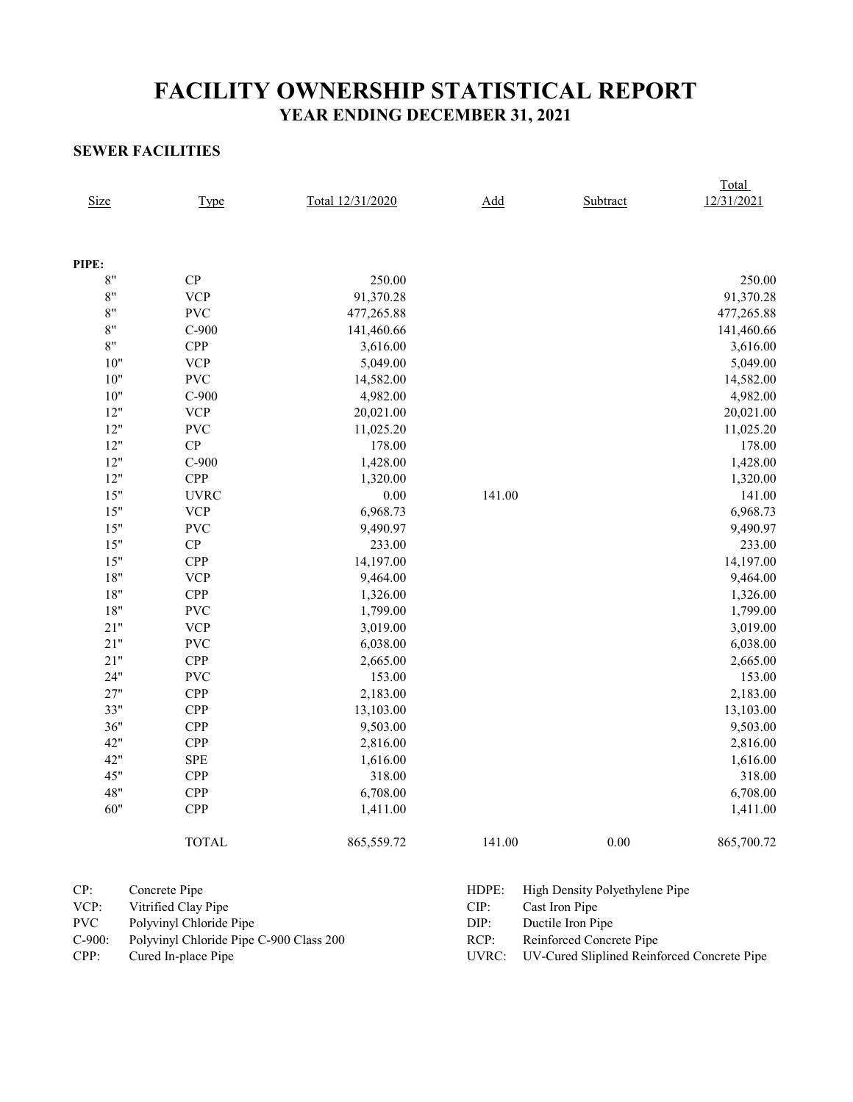## **FACILITY OWNERSHIP STATISTICAL REPORT YEAR ENDING DECEMBER 31, 2021**

#### **SEWER FACILITIES**

| <b>Size</b> | <b>Type</b>  | Total 12/31/2020 | Add    | Subtract | Total<br>12/31/2021 |
|-------------|--------------|------------------|--------|----------|---------------------|
|             |              |                  |        |          |                     |
| PIPE:       |              |                  |        |          |                     |
| 8"          | CP           | 250.00           |        |          | 250.00              |
| 8"          | <b>VCP</b>   | 91,370.28        |        |          | 91,370.28           |
| 8"          | <b>PVC</b>   | 477,265.88       |        |          | 477,265.88          |
| 8"          | $C-900$      | 141,460.66       |        |          | 141,460.66          |
| 8"          | <b>CPP</b>   | 3,616.00         |        |          | 3,616.00            |
| $10"$       | <b>VCP</b>   | 5,049.00         |        |          | 5,049.00            |
| $10"$       | <b>PVC</b>   | 14,582.00        |        |          | 14,582.00           |
| $10"$       | $C-900$      | 4,982.00         |        |          | 4,982.00            |
| 12"         | <b>VCP</b>   | 20,021.00        |        |          | 20,021.00           |
| 12"         | <b>PVC</b>   | 11,025.20        |        |          | 11,025.20           |
| 12"         | CP           | 178.00           |        |          | 178.00              |
| 12"         | $C-900$      | 1,428.00         |        |          | 1,428.00            |
| $12"$       | <b>CPP</b>   | 1,320.00         |        |          | 1,320.00            |
| $15"$       | <b>UVRC</b>  | 0.00             | 141.00 |          | 141.00              |
| $15"$       | <b>VCP</b>   | 6,968.73         |        |          | 6,968.73            |
| 15"         | <b>PVC</b>   | 9,490.97         |        |          | 9,490.97            |
| 15"         | ${\bf CP}$   | 233.00           |        |          | 233.00              |
| 15"         | <b>CPP</b>   | 14,197.00        |        |          | 14,197.00           |
| $18"$       | <b>VCP</b>   | 9,464.00         |        |          | 9,464.00            |
| $18"$       | CPP          | 1,326.00         |        |          | 1,326.00            |
| $18"$       | <b>PVC</b>   | 1,799.00         |        |          | 1,799.00            |
| $21"$       | <b>VCP</b>   | 3,019.00         |        |          | 3,019.00            |
| 21"         | <b>PVC</b>   | 6,038.00         |        |          | 6,038.00            |
| 21"         | <b>CPP</b>   | 2,665.00         |        |          | 2,665.00            |
| 24"         | <b>PVC</b>   | 153.00           |        |          | 153.00              |
| 27"         | <b>CPP</b>   | 2,183.00         |        |          | 2,183.00            |
| 33"         | CPP          | 13,103.00        |        |          | 13,103.00           |
| 36"         | <b>CPP</b>   | 9,503.00         |        |          | 9,503.00            |
| 42"         | CPP          | 2,816.00         |        |          | 2,816.00            |
| 42"         | <b>SPE</b>   | 1,616.00         |        |          | 1,616.00            |
| 45"         | <b>CPP</b>   | 318.00           |        |          | 318.00              |
| 48"         | <b>CPP</b>   | 6,708.00         |        |          | 6,708.00            |
| 60"         | <b>CPP</b>   | 1,411.00         |        |          | 1,411.00            |
|             | <b>TOTAL</b> | 865,559.72       | 141.00 | 0.00     | 865,700.72          |

| CP:  | Concrete Pipe                                  |      | HDPE: High Density Polyethylene Pipe              |
|------|------------------------------------------------|------|---------------------------------------------------|
| VCP: | Vitrified Clay Pipe                            | CIP: | Cast Iron Pipe                                    |
| PVC  | Polyvinyl Chloride Pipe                        | DIP: | Ductile Iron Pipe                                 |
|      | C-900: Polyvinyl Chloride Pipe C-900 Class 200 | RCP: | Reinforced Concrete Pipe                          |
| CPP: | Cured In-place Pipe                            |      | UVRC: UV-Cured Sliplined Reinforced Concrete Pipe |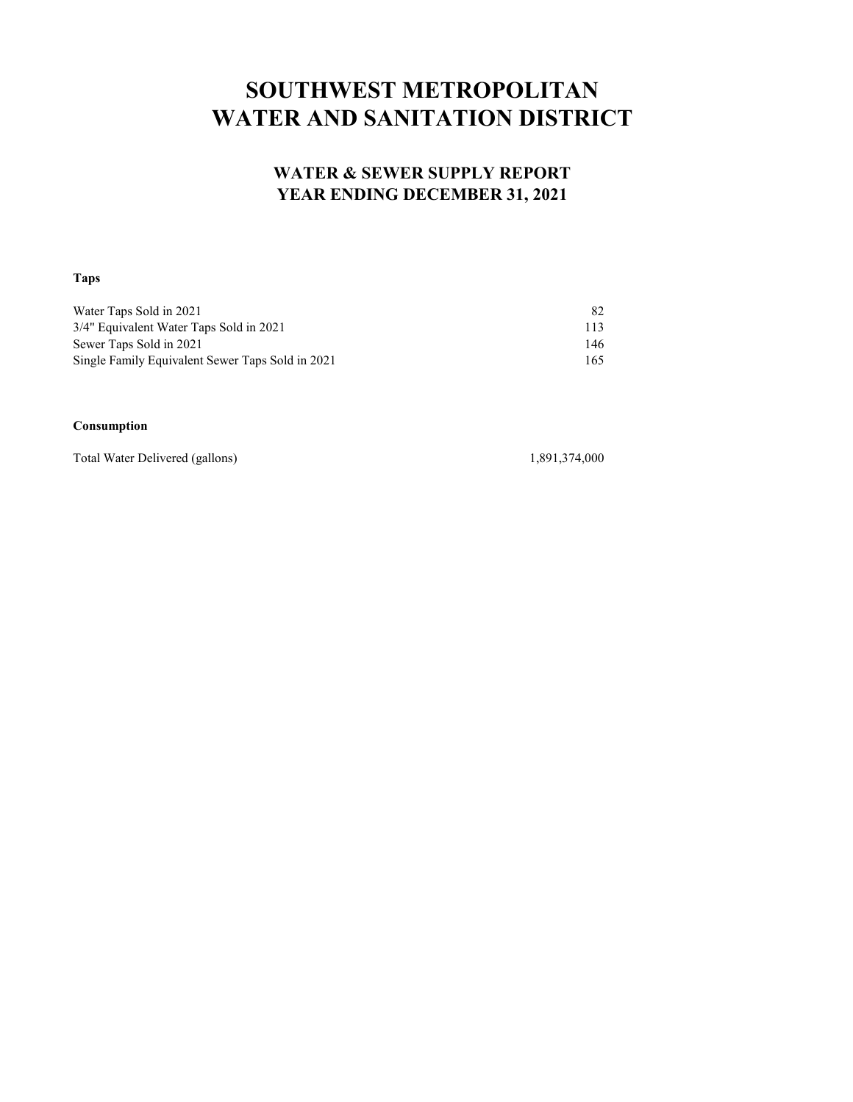# **SOUTHWEST METROPOLITAN WATER AND SANITATION DISTRICT**

#### **WATER & SEWER SUPPLY REPORT YEAR ENDING DECEMBER 31, 2021**

#### **Taps**

| Water Taps Sold in 2021                          | 82  |
|--------------------------------------------------|-----|
| 3/4" Equivalent Water Taps Sold in 2021          | 113 |
| Sewer Taps Sold in 2021                          | 146 |
| Single Family Equivalent Sewer Taps Sold in 2021 | 165 |

#### **Consumption**

Total Water Delivered (gallons) 1,891,374,000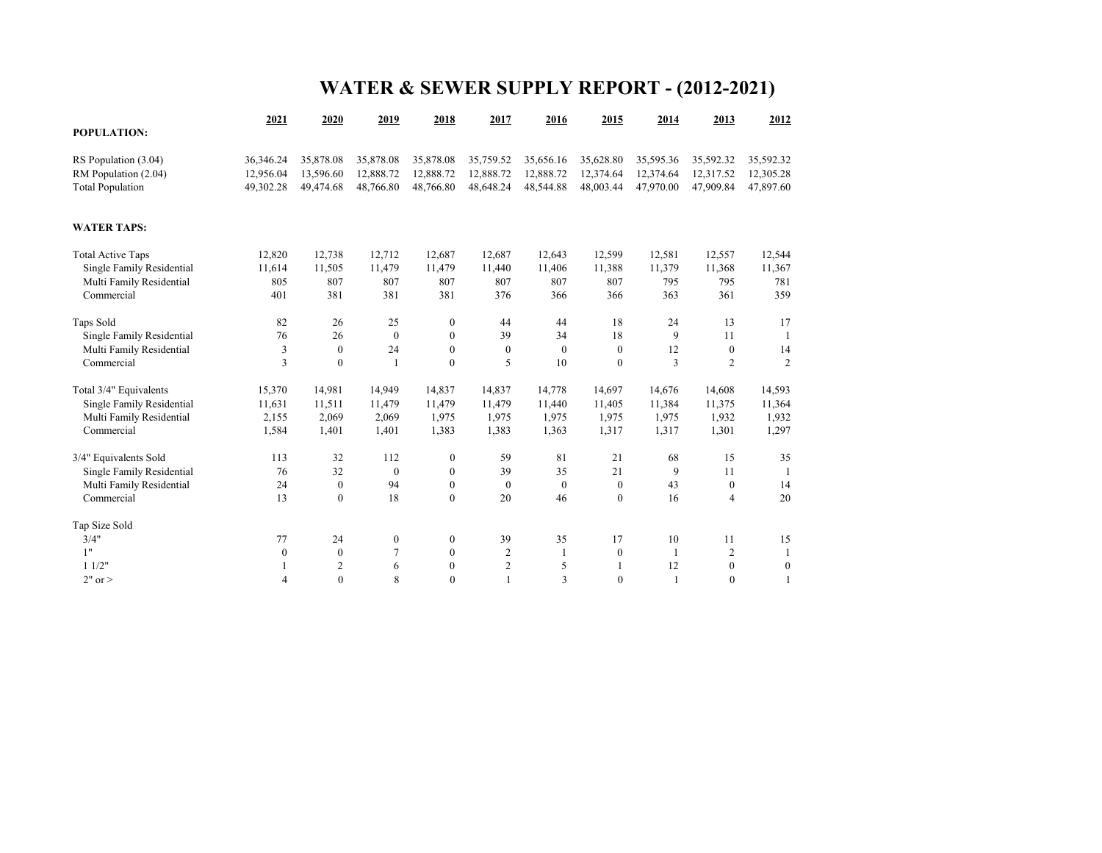# **WATER & SEWER SUPPLY REPORT - (2012-2021)**

|                                  | 2021             | 2020             | 2019         | 2018             | 2017             | 2016             | 2015             | 2014         | 2013             | 2012             |
|----------------------------------|------------------|------------------|--------------|------------------|------------------|------------------|------------------|--------------|------------------|------------------|
| POPULATION:                      |                  |                  |              |                  |                  |                  |                  |              |                  |                  |
| RS Population (3.04)             | 36,346.24        | 35,878.08        | 35,878.08    | 35,878.08        | 35,759.52        | 35,656.16        | 35,628.80        | 35,595.36    | 35,592.32        | 35,592.32        |
| RM Population (2.04)             | 12,956.04        | 13,596.60        | 12,888.72    | 12,888.72        | 12,888.72        | 12,888.72        | 12,374.64        | 12,374.64    | 12,317.52        | 12,305.28        |
| <b>Total Population</b>          | 49,302.28        | 49,474.68        | 48,766.80    | 48,766.80        | 48,648.24        | 48,544.88        | 48,003.44        | 47,970.00    | 47,909.84        | 47,897.60        |
| <b>WATER TAPS:</b>               |                  |                  |              |                  |                  |                  |                  |              |                  |                  |
| <b>Total Active Taps</b>         | 12,820           | 12,738           | 12,712       | 12,687           | 12,687           | 12,643           | 12,599           | 12,581       | 12,557           | 12,544           |
| Single Family Residential        | 11,614           | 11,505           | 11,479       | 11,479           | 11,440           | 11.406           | 11,388           | 11,379       | 11,368           | 11,367           |
| Multi Family Residential         | 805              | 807              | 807          | 807              | 807              | 807              | 807              | 795          | 795              | 781              |
| Commercial                       | 401              | 381              | 381          | 381              | 376              | 366              | 366              | 363          | 361              | 359              |
| Taps Sold                        | 82               | 26               | 25           | $\mathbf{0}$     | 44               | 44               | 18               | 24           | 13               | 17               |
| <b>Single Family Residential</b> | 76               | 26               | $\mathbf{0}$ | $\mathbf{0}$     | 39               | 34               | 18               | 9            | 11               | $\mathbf{1}$     |
| Multi Family Residential         | 3                | $\mathbf{0}$     | 24           | $\mathbf{0}$     | $\mathbf{0}$     | $\mathbf{0}$     | $\mathbf{0}$     | 12           | $\mathbf{0}$     | 14               |
| Commercial                       | 3                | $\mathbf{0}$     | 1            | $\mathbf{0}$     | 5                | 10               | $\mathbf{0}$     | 3            | $\overline{2}$   | $\overline{c}$   |
| Total 3/4" Equivalents           | 15,370           | 14,981           | 14,949       | 14,837           | 14,837           | 14,778           | 14,697           | 14,676       | 14,608           | 14,593           |
| Single Family Residential        | 11,631           | 11,511           | 11,479       | 11,479           | 11,479           | 11,440           | 11,405           | 11,384       | 11,375           | 11,364           |
| Multi Family Residential         | 2,155            | 2,069            | 2,069        | 1,975            | 1,975            | 1,975            | 1,975            | 1,975        | 1,932            | 1,932            |
| Commercial                       | 1,584            | 1,401            | 1,401        | 1,383            | 1,383            | 1,363            | 1,317            | 1,317        | 1,301            | 1,297            |
| 3/4" Equivalents Sold            | 113              | 32               | 112          | $\boldsymbol{0}$ | 59               | 81               | 21               | 68           | 15               | 35               |
| <b>Single Family Residential</b> | 76               | 32               | $\mathbf{0}$ | $\mathbf{0}$     | 39               | 35               | 21               | 9            | 11               | -1               |
| Multi Family Residential         | 24               | $\mathbf{0}$     | 94           | $\boldsymbol{0}$ | $\boldsymbol{0}$ | $\boldsymbol{0}$ | $\mathbf{0}$     | 43           | $\boldsymbol{0}$ | 14               |
| Commercial                       | 13               | $\boldsymbol{0}$ | 18           | $\mathbf{0}$     | 20               | 46               | $\boldsymbol{0}$ | 16           | $\overline{4}$   | 20               |
| Tap Size Sold                    |                  |                  |              |                  |                  |                  |                  |              |                  |                  |
| 3/4"                             | 77               | 24               | $\mathbf{0}$ | $\mathbf{0}$     | 39               | 35               | 17               | 10           | 11               | 15               |
| 1"                               | $\boldsymbol{0}$ | $\mathbf{0}$     | 7            | $\mathbf{0}$     | $\overline{2}$   | 1                | $\mathbf{0}$     | $\mathbf{1}$ | $\overline{c}$   | $\mathbf{1}$     |
| 11/2"                            | 1                | $\boldsymbol{2}$ | 6            | $\mathbf{0}$     | $\overline{c}$   | 5                |                  | 12           | $\boldsymbol{0}$ | $\boldsymbol{0}$ |
| $2"$ or $>$                      | $\overline{4}$   | $\theta$         | 8            | $\mathbf{0}$     | 1                | 3                | $\theta$         | $\mathbf{1}$ | $\mathbf{0}$     | 1                |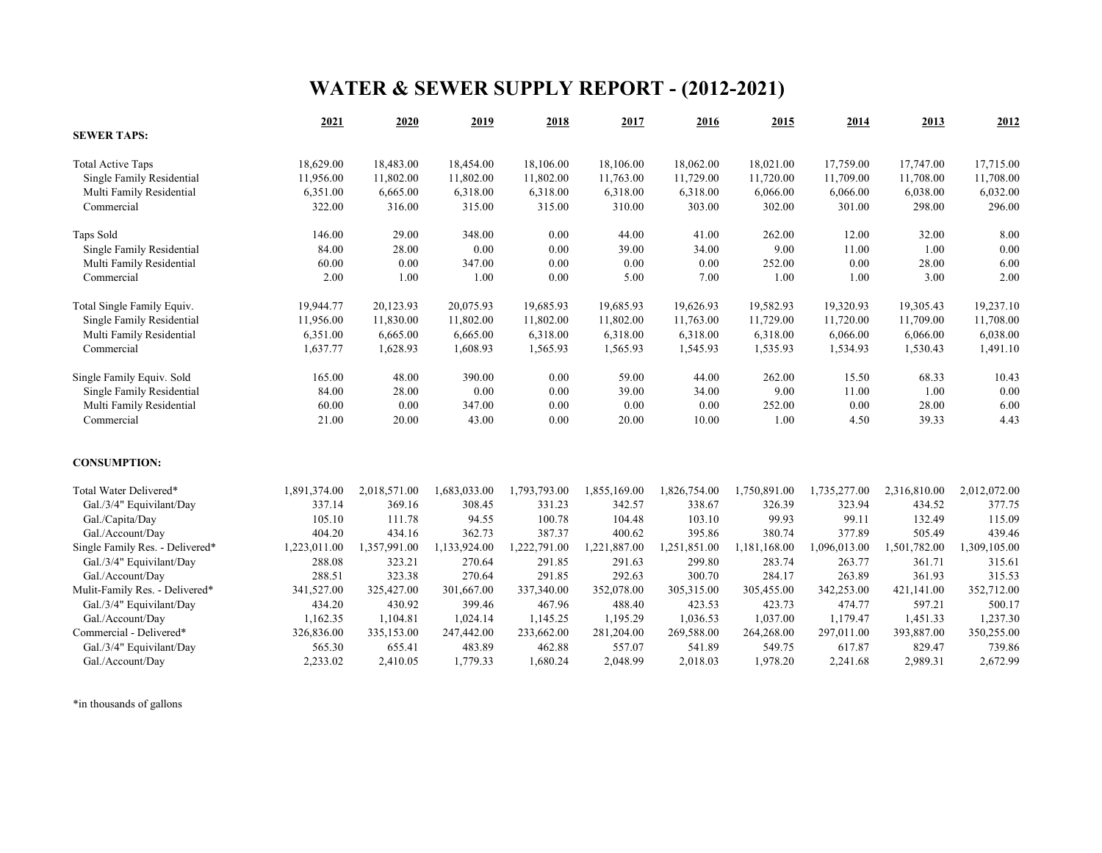# **WATER & SEWER SUPPLY REPORT - (2012-2021)**

|                                 | 2021         | 2020         | 2019         | 2018         | 2017         | 2016         | 2015         | 2014         | 2013         | 2012         |
|---------------------------------|--------------|--------------|--------------|--------------|--------------|--------------|--------------|--------------|--------------|--------------|
| <b>SEWER TAPS:</b>              |              |              |              |              |              |              |              |              |              |              |
| <b>Total Active Taps</b>        | 18,629.00    | 18,483.00    | 18,454.00    | 18,106.00    | 18,106.00    | 18,062.00    | 18,021.00    | 17,759.00    | 17,747.00    | 17,715.00    |
| Single Family Residential       | 11,956.00    | 11,802.00    | 11,802.00    | 11,802.00    | 11,763.00    | 11,729.00    | 11,720.00    | 11,709.00    | 11,708.00    | 11,708.00    |
| Multi Family Residential        | 6,351.00     | 6,665.00     | 6,318.00     | 6,318.00     | 6,318.00     | 6,318.00     | 6,066.00     | 6,066.00     | 6,038.00     | 6,032.00     |
| Commercial                      | 322.00       | 316.00       | 315.00       | 315.00       | 310.00       | 303.00       | 302.00       | 301.00       | 298.00       | 296.00       |
| Taps Sold                       | 146.00       | 29.00        | 348.00       | 0.00         | 44.00        | 41.00        | 262.00       | 12.00        | 32.00        | 8.00         |
| Single Family Residential       | 84.00        | 28.00        | 0.00         | 0.00         | 39.00        | 34.00        | 9.00         | 11.00        | 1.00         | 0.00         |
| Multi Family Residential        | 60.00        | 0.00         | 347.00       | 0.00         | 0.00         | 0.00         | 252.00       | 0.00         | 28.00        | 6.00         |
| Commercial                      | 2.00         | 1.00         | 1.00         | 0.00         | 5.00         | 7.00         | 1.00         | 1.00         | 3.00         | 2.00         |
| Total Single Family Equiv.      | 19,944.77    | 20,123.93    | 20,075.93    | 19,685.93    | 19,685.93    | 19,626.93    | 19,582.93    | 19,320.93    | 19,305.43    | 19,237.10    |
| Single Family Residential       | 11,956.00    | 11,830.00    | 11,802.00    | 11,802.00    | 11,802.00    | 11,763.00    | 11,729.00    | 11,720.00    | 11,709.00    | 11,708.00    |
| Multi Family Residential        | 6,351.00     | 6,665.00     | 6,665.00     | 6,318.00     | 6,318.00     | 6,318.00     | 6,318.00     | 6,066.00     | 6,066.00     | 6,038.00     |
| Commercial                      | 1,637.77     | 1,628.93     | 1,608.93     | 1,565.93     | 1,565.93     | 1,545.93     | 1,535.93     | 1,534.93     | 1,530.43     | 1,491.10     |
| Single Family Equiv. Sold       | 165.00       | 48.00        | 390.00       | 0.00         | 59.00        | 44.00        | 262.00       | 15.50        | 68.33        | 10.43        |
| Single Family Residential       | 84.00        | 28.00        | 0.00         | 0.00         | 39.00        | 34.00        | 9.00         | 11.00        | 1.00         | 0.00         |
| Multi Family Residential        | 60.00        | 0.00         | 347.00       | 0.00         | 0.00         | 0.00         | 252.00       | 0.00         | 28.00        | 6.00         |
| Commercial                      | 21.00        | 20.00        | 43.00        | 0.00         | 20.00        | 10.00        | 1.00         | 4.50         | 39.33        | 4.43         |
| <b>CONSUMPTION:</b>             |              |              |              |              |              |              |              |              |              |              |
| Total Water Delivered*          | 1,891,374.00 | 2,018,571.00 | 1,683,033.00 | 1,793,793.00 | 1,855,169.00 | 1,826,754.00 | 1,750,891.00 | 1,735,277.00 | 2,316,810.00 | 2,012,072.00 |
| Gal./3/4" Equivilant/Day        | 337.14       | 369.16       | 308.45       | 331.23       | 342.57       | 338.67       | 326.39       | 323.94       | 434.52       | 377.75       |
| Gal./Capita/Day                 | 105.10       | 111.78       | 94.55        | 100.78       | 104.48       | 103.10       | 99.93        | 99.11        | 132.49       | 115.09       |
| Gal./Account/Day                | 404.20       | 434.16       | 362.73       | 387.37       | 400.62       | 395.86       | 380.74       | 377.89       | 505.49       | 439.46       |
| Single Family Res. - Delivered* | 1,223,011.00 | 1,357,991.00 | 1,133,924.00 | 1,222,791.00 | 1,221,887.00 | 1,251,851.00 | 1,181,168.00 | 1,096,013.00 | 1,501,782.00 | 1,309,105.00 |
| Gal./3/4" Equivilant/Day        | 288.08       | 323.21       | 270.64       | 291.85       | 291.63       | 299.80       | 283.74       | 263.77       | 361.71       | 315.61       |
| Gal./Account/Day                | 288.51       | 323.38       | 270.64       | 291.85       | 292.63       | 300.70       | 284.17       | 263.89       | 361.93       | 315.53       |
| Mulit-Family Res. - Delivered*  | 341,527.00   | 325,427.00   | 301,667.00   | 337,340.00   | 352,078.00   | 305,315.00   | 305,455.00   | 342,253.00   | 421,141.00   | 352,712.00   |
| Gal./3/4" Equivilant/Day        | 434.20       | 430.92       | 399.46       | 467.96       | 488.40       | 423.53       | 423.73       | 474.77       | 597.21       | 500.17       |
| Gal./Account/Day                | 1,162.35     | 1,104.81     | 1,024.14     | 1,145.25     | 1,195.29     | 1,036.53     | 1,037.00     | 1,179.47     | 1,451.33     | 1,237.30     |
| Commercial - Delivered*         | 326,836.00   | 335,153.00   | 247,442.00   | 233,662.00   | 281,204.00   | 269,588.00   | 264,268.00   | 297,011.00   | 393,887.00   | 350,255.00   |
| Gal./3/4" Equivilant/Day        | 565.30       | 655.41       | 483.89       | 462.88       | 557.07       | 541.89       | 549.75       | 617.87       | 829.47       | 739.86       |
| Gal./Account/Day                | 2,233.02     | 2,410.05     | 1,779.33     | 1,680.24     | 2,048.99     | 2,018.03     | 1,978.20     | 2,241.68     | 2,989.31     | 2,672.99     |

\*in thousands of gallons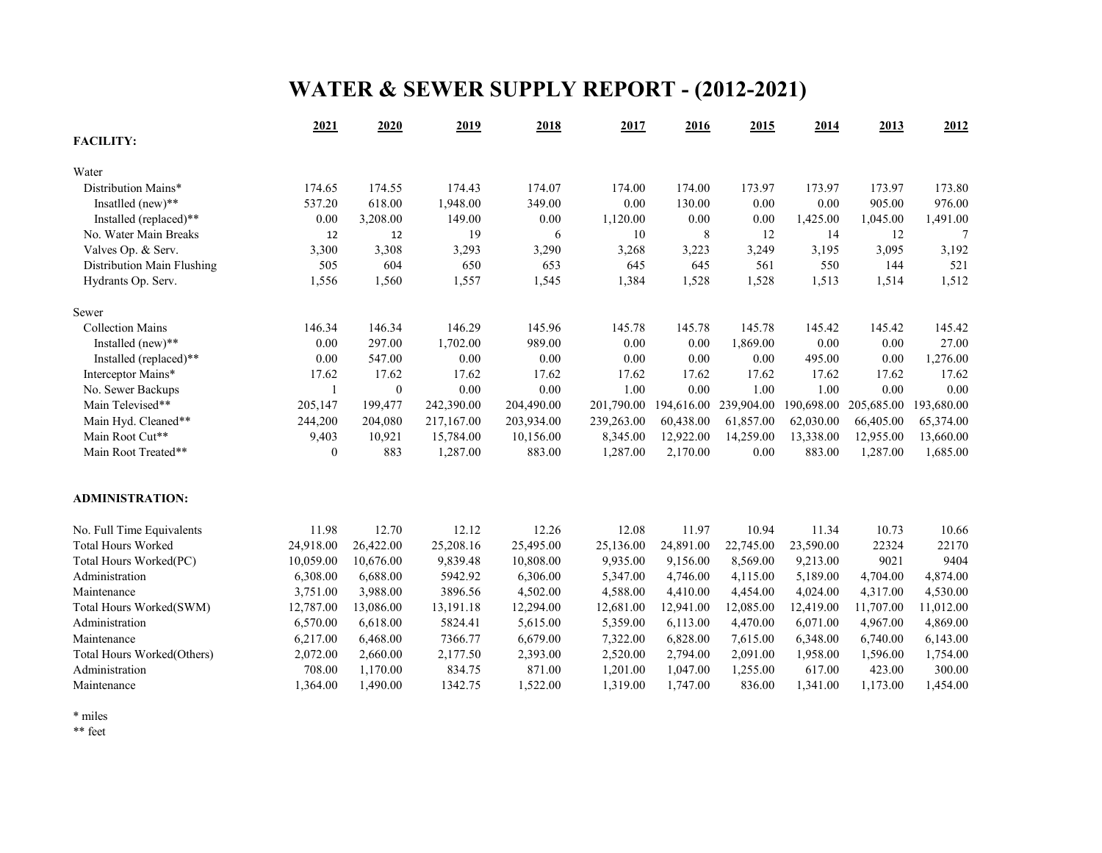# **WATER & SEWER SUPPLY REPORT - (2012-2021)**

|                            | 2021         | 2020             | 2019       | 2018       | 2017       | 2016       | 2015       | 2014       | 2013       | 2012       |
|----------------------------|--------------|------------------|------------|------------|------------|------------|------------|------------|------------|------------|
| <b>FACILITY:</b>           |              |                  |            |            |            |            |            |            |            |            |
| Water                      |              |                  |            |            |            |            |            |            |            |            |
| Distribution Mains*        | 174.65       | 174.55           | 174.43     | 174.07     | 174.00     | 174.00     | 173.97     | 173.97     | 173.97     | 173.80     |
| Insatlled (new)**          | 537.20       | 618.00           | 1,948.00   | 349.00     | 0.00       | 130.00     | 0.00       | 0.00       | 905.00     | 976.00     |
| Installed (replaced)**     | 0.00         | 3,208.00         | 149.00     | 0.00       | 1,120.00   | 0.00       | 0.00       | 1,425.00   | 1,045.00   | 1,491.00   |
| No. Water Main Breaks      | 12           | 12               | 19         | 6          | 10         | 8          | 12         | 14         | 12         | 7          |
| Valves Op. & Serv.         | 3,300        | 3,308            | 3,293      | 3,290      | 3,268      | 3,223      | 3,249      | 3,195      | 3,095      | 3,192      |
| Distribution Main Flushing | 505          | 604              | 650        | 653        | 645        | 645        | 561        | 550        | 144        | 521        |
| Hydrants Op. Serv.         | 1,556        | 1,560            | 1,557      | 1,545      | 1,384      | 1,528      | 1,528      | 1,513      | 1,514      | 1,512      |
| Sewer                      |              |                  |            |            |            |            |            |            |            |            |
| <b>Collection Mains</b>    | 146.34       | 146.34           | 146.29     | 145.96     | 145.78     | 145.78     | 145.78     | 145.42     | 145.42     | 145.42     |
| Installed (new)**          | 0.00         | 297.00           | 1,702.00   | 989.00     | 0.00       | 0.00       | 1,869.00   | 0.00       | 0.00       | 27.00      |
| Installed (replaced)**     | 0.00         | 547.00           | 0.00       | 0.00       | 0.00       | 0.00       | 0.00       | 495.00     | 0.00       | 1,276.00   |
| Interceptor Mains*         | 17.62        | 17.62            | 17.62      | 17.62      | 17.62      | 17.62      | 17.62      | 17.62      | 17.62      | 17.62      |
| No. Sewer Backups          |              | $\boldsymbol{0}$ | 0.00       | 0.00       | 1.00       | 0.00       | 1.00       | 1.00       | 0.00       | 0.00       |
| Main Televised**           | 205,147      | 199,477          | 242,390.00 | 204,490.00 | 201,790.00 | 194,616.00 | 239,904.00 | 190,698.00 | 205,685.00 | 193,680.00 |
| Main Hyd. Cleaned**        | 244,200      | 204,080          | 217,167.00 | 203,934.00 | 239,263.00 | 60,438.00  | 61,857.00  | 62,030.00  | 66,405.00  | 65,374.00  |
| Main Root Cut**            | 9,403        | 10,921           | 15,784.00  | 10,156.00  | 8,345.00   | 12,922.00  | 14,259.00  | 13,338.00  | 12,955.00  | 13,660.00  |
| Main Root Treated**        | $\mathbf{0}$ | 883              | 1,287.00   | 883.00     | 1,287.00   | 2,170.00   | 0.00       | 883.00     | 1,287.00   | 1,685.00   |
| <b>ADMINISTRATION:</b>     |              |                  |            |            |            |            |            |            |            |            |
| No. Full Time Equivalents  | 11.98        | 12.70            | 12.12      | 12.26      | 12.08      | 11.97      | 10.94      | 11.34      | 10.73      | 10.66      |
| <b>Total Hours Worked</b>  | 24,918.00    | 26,422.00        | 25,208.16  | 25,495.00  | 25,136.00  | 24,891.00  | 22,745.00  | 23,590.00  | 22324      | 22170      |
| Total Hours Worked(PC)     | 10,059.00    | 10,676.00        | 9,839.48   | 10,808.00  | 9,935.00   | 9,156.00   | 8,569.00   | 9,213.00   | 9021       | 9404       |
| Administration             | 6,308.00     | 6,688.00         | 5942.92    | 6,306.00   | 5,347.00   | 4,746.00   | 4,115.00   | 5,189.00   | 4,704.00   | 4,874.00   |
| Maintenance                | 3,751.00     | 3,988.00         | 3896.56    | 4,502.00   | 4,588.00   | 4,410.00   | 4,454.00   | 4,024.00   | 4,317.00   | 4,530.00   |
| Total Hours Worked(SWM)    | 12,787.00    | 13,086.00        | 13,191.18  | 12,294.00  | 12,681.00  | 12,941.00  | 12,085.00  | 12,419.00  | 11,707.00  | 11,012.00  |
| Administration             | 6,570.00     | 6,618.00         | 5824.41    | 5,615.00   | 5,359.00   | 6,113.00   | 4,470.00   | 6,071.00   | 4,967.00   | 4,869.00   |
| Maintenance                | 6,217.00     | 6,468.00         | 7366.77    | 6,679.00   | 7,322.00   | 6,828.00   | 7,615.00   | 6,348.00   | 6,740.00   | 6,143.00   |
| Total Hours Worked(Others) | 2,072.00     | 2,660.00         | 2,177.50   | 2,393.00   | 2,520.00   | 2,794.00   | 2,091.00   | 1,958.00   | 1,596.00   | 1,754.00   |
| Administration             | 708.00       | 1,170.00         | 834.75     | 871.00     | 1,201.00   | 1,047.00   | 1,255.00   | 617.00     | 423.00     | 300.00     |
| Maintenance                | 1,364.00     | 1,490.00         | 1342.75    | 1,522.00   | 1,319.00   | 1,747.00   | 836.00     | 1,341.00   | 1,173.00   | 1,454.00   |

\* miles

\*\* feet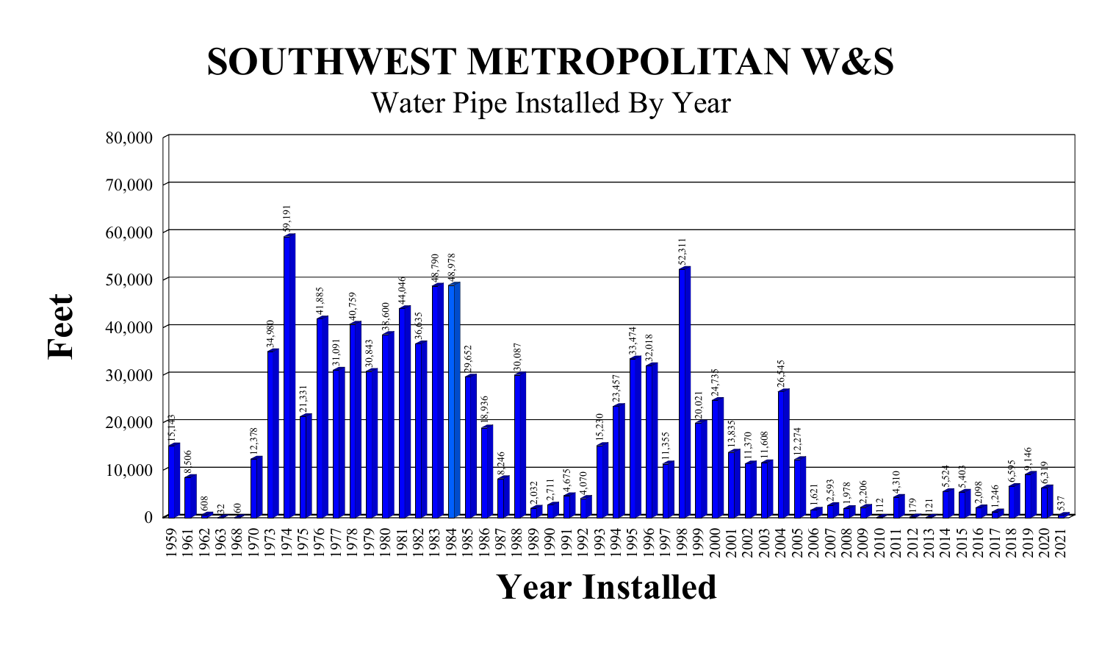# **SOUTHWEST METROPOLITAN W&S**

Water Pipe Installed By Year



**Feet**

**Year Installed**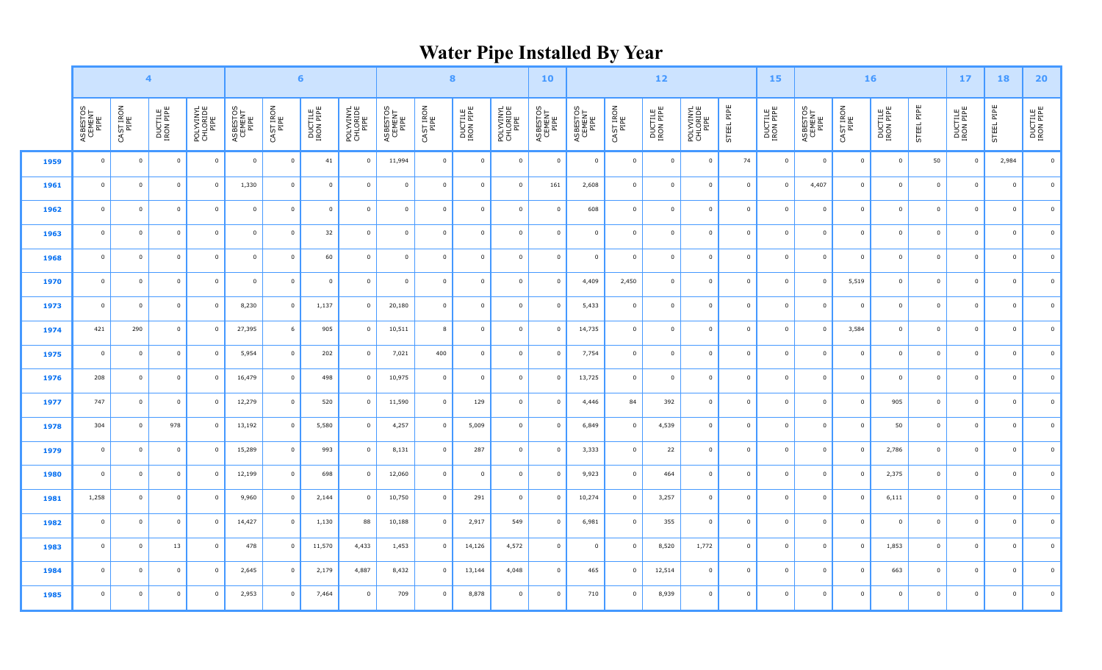# **Water Pipe Installed By Year**

|      | $\overline{4}$             |                         |                      |                               |                            |                         | $6\phantom{a}$       |                               | $\bf{8}$                   |                   |                      | 10                            | $\bf 12$                   |                            |                         | 15                   |                               | 16             |                      |                            | 17                | <b>18</b>            | 20 <sub>2</sub> |                         |                |                         |
|------|----------------------------|-------------------------|----------------------|-------------------------------|----------------------------|-------------------------|----------------------|-------------------------------|----------------------------|-------------------|----------------------|-------------------------------|----------------------------|----------------------------|-------------------------|----------------------|-------------------------------|----------------|----------------------|----------------------------|-------------------|----------------------|-----------------|-------------------------|----------------|-------------------------|
|      | ASBESTOS<br>CEMENT<br>PIPE | CAST IRON<br>PIPE       | DUCTILE<br>IRON PIPE | POLYVINYL<br>CHLORIDE<br>PIPE | ASBESTOS<br>CEMENT<br>PIPE | CAST IRON<br>PIPE       | DUCTILE<br>IRON PIPE | POLYVINYL<br>CHLORIDE<br>PIPE | ASBESTOS<br>CEMENT<br>PIPE | CAST IRON<br>PIPE | DUCTILE<br>IRON PIPE | POLYVINYL<br>CHLORIDE<br>PIPE | ASBESTOS<br>CEMENT<br>PIPE | ASBESTOS<br>CEMENT<br>PIPE | CAST IRON<br>PIPE       | DUCTILE<br>IRON PIPE | POLYVINYL<br>CHLORIDE<br>PIPE | STEEL PIPE     | DUCTILE<br>IRON PIPE | ASBESTOS<br>CEMENT<br>PIPE | CAST IRON<br>PIPE | DUCTILE<br>IRON PIPE | STEEL PIPE      | DUCTILE<br>IRON PIPE    | STEEL PIPE     | DUCTILE<br>IRON PIPE    |
| 1959 | $\mathbf 0$                | $\overline{\mathbf{0}}$ | $\mathbf 0$          | $\overline{0}$                | $\overline{0}$             | $\overline{0}$          | 41                   | $\overline{0}$                | 11,994                     | $\mathbf 0$       | $\overline{0}$       | $\mathbf 0$                   | $\overline{\mathbf{0}}$    | $\mathbf 0$                | $\overline{0}$          | $\overline{0}$       | $\overline{0}$                | 74             | $\overline{0}$       | $\Omega$                   | $\mathbf 0$       | $\mathbf 0$          | 50              | $\overline{\mathbf{0}}$ | 2,984          | $\overline{0}$          |
| 1961 | $\overline{0}$             | $\overline{\mathbf{0}}$ | $\overline{0}$       | $\overline{0}$                | 1,330                      | $\overline{0}$          | $\overline{0}$       | $\overline{0}$                | $\overline{0}$             | $\mathbf 0$       | $\overline{0}$       | $\overline{0}$                | 161                        | 2,608                      | $\overline{\mathbf{0}}$ | $\overline{0}$       | $\overline{0}$                | $\overline{0}$ | $\overline{0}$       | 4,407                      | $\overline{0}$    | $\overline{0}$       | $\overline{0}$  | $\overline{\mathbf{0}}$ | $\overline{0}$ | $\overline{\mathbf{0}}$ |
| 1962 | $\overline{0}$             | $\overline{\mathbf{0}}$ | $\overline{0}$       | $\overline{0}$                | $\overline{0}$             | $\overline{0}$          | $\overline{0}$       | $\overline{0}$                | $\overline{0}$             | $\overline{0}$    | $\overline{0}$       | $\overline{0}$                | $\overline{\mathbf{0}}$    | 608                        | $\overline{0}$          | $\overline{0}$       | $\overline{0}$                | $\overline{0}$ | $\overline{0}$       | $\overline{0}$             | $\overline{0}$    | $\overline{0}$       | $\overline{0}$  | $\overline{\mathbf{0}}$ | $\overline{0}$ | $\mathbf{0}$            |
| 1963 | $\mathbf{0}$               | $\overline{\mathbf{0}}$ | $\overline{0}$       | $\mathbf 0$                   | $\overline{0}$             | $\overline{0}$          | 32                   | $\overline{0}$                | $\mathbf{0}$               | $\mathbf 0$       | $\overline{0}$       | $\mathbf 0$                   | $\overline{\mathbf{0}}$    | $\mathbf 0$                | $\mathbf 0$             | $\overline{0}$       | $\overline{0}$                | $\mathbf 0$    | $\overline{0}$       | $^{\circ}$                 | $\overline{0}$    | $\overline{0}$       | $\mathbf 0$     | $\overline{0}$          | $\mathbf{0}$   | $\mathbf 0$             |
| 1968 | $\overline{0}$             | $\overline{\mathbf{0}}$ | $\mathbf 0$          | $\mathbf 0$                   | $\overline{\mathbf{0}}$    | $\overline{0}$          | 60                   | $\overline{0}$                | $\overline{0}$             | $\overline{0}$    | $\overline{0}$       | $\mathbf 0$                   | $\overline{\mathbf{0}}$    | $\mathsf 0$                | $\overline{0}$          | $\overline{0}$       | $\overline{0}$                | $\overline{0}$ | $\overline{0}$       | $\overline{0}$             | $\mathsf 0$       | $\mathbf 0$          | $\overline{0}$  | $\overline{\mathbf{0}}$ | $\overline{0}$ | $\overline{\mathbf{0}}$ |
| 1970 | $\overline{0}$             | $\overline{\mathbf{0}}$ | $\mathbf 0$          | $\mathsf 0$                   | $\mathbf 0$                | $\overline{0}$          | $\overline{0}$       | $\overline{0}$                | $\overline{0}$             | $\mathbf 0$       | $\mathbf 0$          | $\mathbf 0$                   | $\overline{\mathbf{0}}$    | 4,409                      | 2,450                   | $\overline{0}$       | $\overline{0}$                | $\overline{0}$ | $\mathbf 0$          | $\overline{0}$             | 5,519             | $\mathbf 0$          | $\overline{0}$  | $\overline{\mathbf{0}}$ | $\mathbf 0$    | $\mathbf 0$             |
| 1973 | $\mathbf 0$                | $\overline{\mathbf{0}}$ | $\overline{0}$       | $\overline{0}$                | 8,230                      | $\overline{\mathbf{0}}$ | 1,137                | $\overline{0}$                | 20,180                     | $\mathbf 0$       | $\overline{0}$       | $\mathbf 0$                   | $\overline{\mathbf{0}}$    | 5,433                      | $\mathbf 0$             | $\overline{0}$       | $\overline{0}$                | $\overline{0}$ | $\overline{0}$       | $\overline{0}$             | $\mathbf 0$       | $\overline{0}$       | $\mathbf 0$     | $\overline{\mathbf{0}}$ | $\overline{0}$ | $\mathbf{0}$            |
| 1974 | 421                        | 290                     | $\mathbf{0}$         | $\mathbf 0$                   | 27,395                     | 6                       | 905                  | $\overline{0}$                | 10,511                     | 8                 | $\overline{0}$       | $\mathbf{0}$                  | $\overline{\mathbf{0}}$    | 14,735                     | $\mathbf 0$             | $\overline{0}$       | $\overline{0}$                | $\overline{0}$ | $\overline{0}$       | $^{\circ}$                 | 3,584             | $\mathbf{0}$         | $\mathbf 0$     | $\overline{0}$          | $\mathbf 0$    | $\mathbf{0}$            |
| 1975 | $\mathbf{0}$               | $\overline{\mathbf{0}}$ | $\mathbf 0$          | $\Omega$                      | 5,954                      | $\overline{0}$          | 202                  | $\overline{0}$                | 7,021                      | 400               | $\overline{0}$       | $\mathbf 0$                   | $\overline{\mathbf{0}}$    | 7,754                      | $\overline{0}$          | $\overline{0}$       | $\overline{0}$                | $\overline{0}$ | $\overline{0}$       | $\Omega$                   | $\overline{0}$    | $\overline{0}$       | $\mathbf 0$     | $\overline{0}$          | $\mathbf 0$    | $\mathbf{0}$            |
| 1976 | 208                        | $\overline{\mathbf{0}}$ | $\overline{0}$       | $\overline{0}$                | 16,479                     | $\overline{0}$          | 498                  | $\overline{0}$                | 10,975                     | $\overline{0}$    | $\overline{0}$       | $\overline{0}$                | $\overline{\mathbf{0}}$    | 13,725                     | $\overline{0}$          | $\overline{0}$       | $\overline{0}$                | $\overline{0}$ | $\mathbf 0$          | $\overline{0}$             | $\overline{0}$    | $\overline{0}$       | $\overline{0}$  | $\overline{0}$          | $\overline{0}$ | $\mathbf{0}$            |
| 1977 | 747                        | $\overline{\mathbf{0}}$ | $\overline{0}$       | $\overline{0}$                | 12,279                     | $\overline{\mathbf{0}}$ | 520                  | $\overline{0}$                | 11,590                     | $\mathbf 0$       | 129                  | $\overline{0}$                | $\overline{\mathbf{0}}$    | 4,446                      | 84                      | 392                  | $\overline{0}$                | $\overline{0}$ | $\overline{0}$       | $\overline{0}$             | $\mathbf{0}$      | 905                  | $\overline{0}$  | $\overline{\mathbf{0}}$ | $\overline{0}$ | $\overline{0}$          |
| 1978 | 304                        | $\overline{0}$          | 978                  |                               | 13,192                     | $\overline{0}$          | 5,580                | $\overline{0}$                | 4,257                      | $\overline{0}$    | 5,009                | $\overline{0}$                | $\overline{\mathbf{0}}$    | 6,849                      | $\mathbf{0}$            | 4,539                | $\overline{0}$                | $\overline{0}$ | $\overline{0}$       | $^{\circ}$                 | $\overline{0}$    | 50                   | $\overline{0}$  | $\overline{\mathbf{0}}$ | $\mathsf 0$    | $\mathbf 0$             |
| 1979 | $\overline{0}$             | $\overline{\mathbf{0}}$ | $\mathbf 0$          | $\Omega$                      | 15,289                     | $\overline{\mathbf{0}}$ | 993                  | $\overline{0}$                | 8,131                      | $\mathbf 0$       | 287                  | $\mathbf 0$                   | $\overline{\mathbf{0}}$    | 3,333                      | $\overline{0}$          | 22                   | $\overline{0}$                | $\overline{0}$ | $\overline{0}$       | $\overline{0}$             | $\overline{0}$    | 2,786                | $\mathbf 0$     | $\overline{0}$          | $\mathsf 0$    | $\mathbf 0$             |
| 1980 | $\overline{0}$             | $\overline{\mathbf{0}}$ | $\mathbf 0$          | $\Omega$                      | 12,199                     | $\overline{\mathbf{0}}$ | 698                  | $\overline{0}$                | 12,060                     | $\mathbf 0$       | $\overline{0}$       | $\overline{0}$                | $\overline{\mathbf{0}}$    | 9,923                      | $\overline{0}$          | 464                  | $\overline{0}$                | $\overline{0}$ | $\overline{0}$       | $\Omega$                   | $\overline{0}$    | 2,375                | $\overline{0}$  | $\overline{0}$          | $\mathbf 0$    | $\mathbf{0}$            |
| 1981 | 1,258                      | $\overline{0}$          | $\mathbf 0$          | $\Omega$                      | 9,960                      | $\overline{0}$          | 2,144                | $\overline{0}$                | 10,750                     | $\mathbf 0$       | 291                  | $\mathbf 0$                   | $\overline{\mathbf{0}}$    | 10,274                     | $\overline{0}$          | 3,257                | $\overline{0}$                | $\overline{0}$ | $\mathbf 0$          | $\Omega$                   | $\mathbf 0$       | 6,111                | $\mathbf 0$     | $\overline{0}$          | $\mathsf 0$    | $\mathbf{0}$            |
| 1982 | $\overline{0}$             | $\overline{\mathbf{0}}$ | $\mathbf 0$          | $\overline{0}$                | 14,427                     | $\overline{0}$          | 1,130                | 88                            | 10,188                     | $\mathbf 0$       | 2,917                | 549                           | $\overline{\mathbf{0}}$    | 6,981                      | $\overline{0}$          | 355                  | $\overline{0}$                | $\overline{0}$ | $\mathbf 0$          | $\mathbf 0$                | $\overline{0}$    | $\mathbf{0}$         | $\overline{0}$  | $\overline{\mathbf{0}}$ | $\overline{0}$ | $\mathbf{0}$            |
| 1983 | $\overline{0}$             | $\overline{\mathbf{0}}$ | 13                   | 0                             | 478                        | $\overline{0}$          | 11,570               | 4,433                         | 1,453                      | $\overline{0}$    | 14,126               | 4,572                         | $\overline{\mathbf{0}}$    | $\mathbf 0$                | $\overline{0}$          | 8,520                | 1,772                         | $\overline{0}$ | $\overline{0}$       | $\overline{0}$             | $\overline{0}$    | 1,853                | $\overline{0}$  | $\overline{\mathbf{0}}$ | $\overline{0}$ | $\mathbf 0$             |
| 1984 | $\overline{0}$             | $\overline{0}$          | $\mathsf 0$          | $\Omega$                      | 2,645                      | $\overline{0}$          | 2,179                | 4,887                         | 8,432                      | $\overline{0}$    | 13,144               | 4,048                         | $\overline{\mathbf{0}}$    | 465                        | $^{\circ}$              | 12,514               | $\overline{0}$                | $\mathbf 0$    | $\overline{0}$       | $\Omega$                   | $\overline{0}$    | 663                  | $\mathbf 0$     | $\overline{0}$          | $\mathbf 0$    | $\mathbf 0$             |
| 1985 | $\overline{0}$             | $\overline{\mathbf{0}}$ | $\mathbf 0$          | $\overline{0}$                | 2,953                      | $\overline{0}$          | 7,464                | $\overline{0}$                | 709                        | $\mathbf 0$       | 8,878                | $\mathbf 0$                   | $\overline{\mathbf{0}}$    | 710                        | $\mathbf 0$             | 8,939                | $\mathbf 0$                   | $\overline{0}$ | $\overline{0}$       | $\mathbf{0}$               | $\mathbf 0$       | $\mathbf 0$          | $\mathbf 0$     | $\overline{\mathbf{0}}$ | $\mathbf 0$    | $\mathbf 0$             |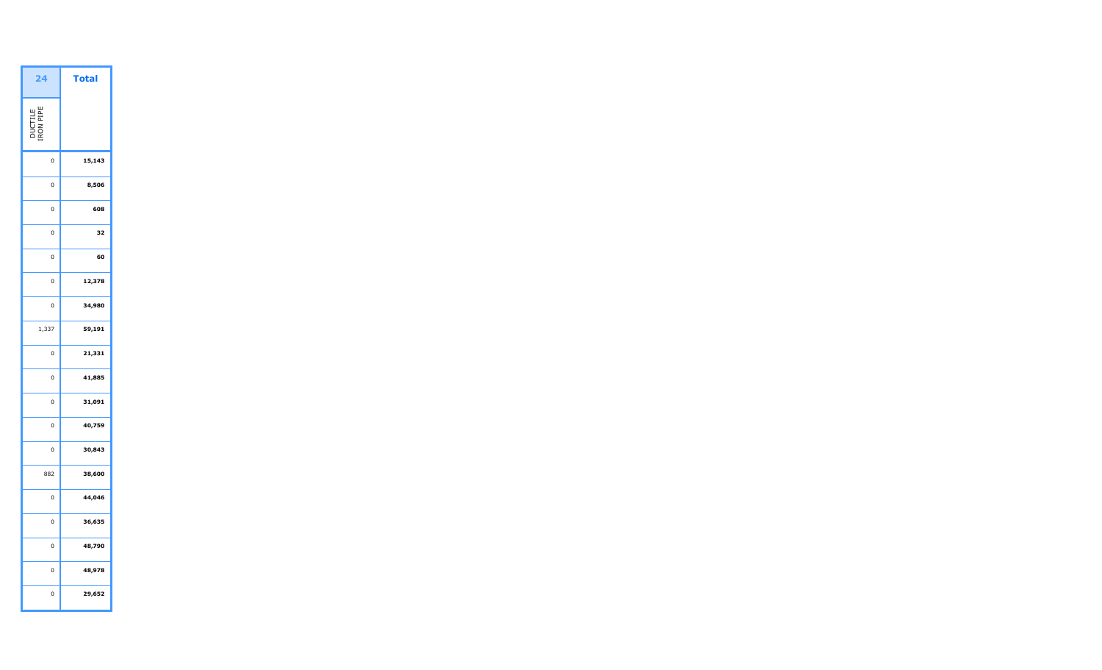| <b>Total</b> |
|--------------|
|              |
| 15,143       |
| 8,506        |
| 608          |
| 32           |
| 60           |
| 12,378       |
| 34,980       |
| 59,191       |
| 21,331       |
| 41,885       |
| 31,091       |
| 40,759       |
| 30,843       |
| 38,600       |
| 44,046       |
| 36,635       |
| 48,790       |
| 48,978       |
| 29,652       |
|              |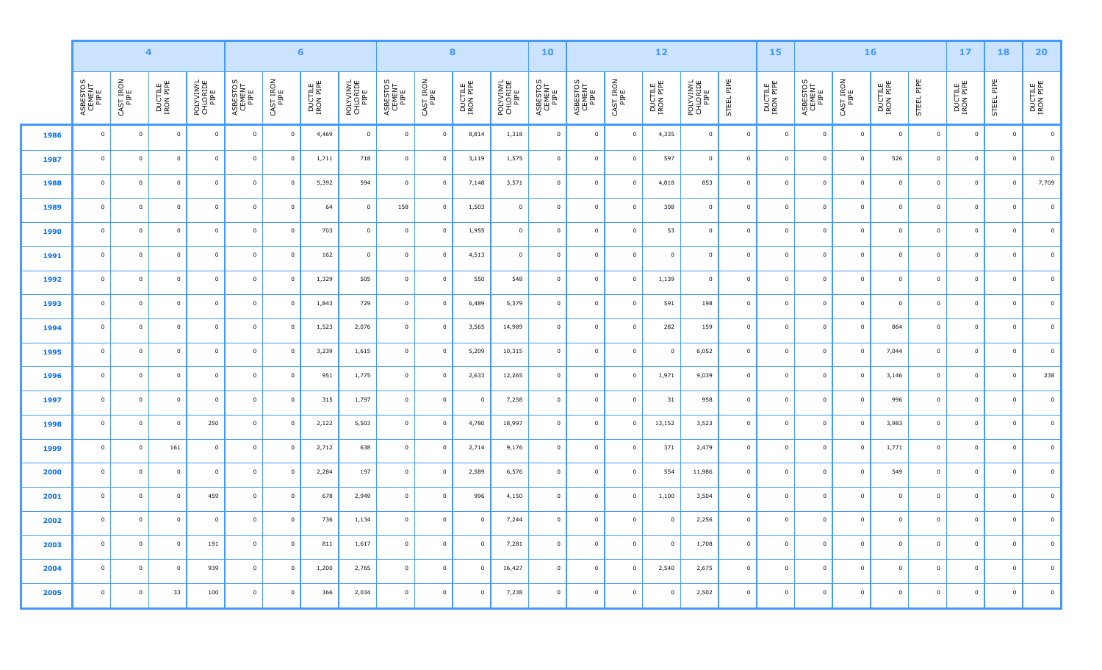|      |                            |                         | $6\phantom{a}$<br>$\blacktriangleleft$<br>$\bf8$ |                               |                            |                   |                      |                               | 10                         |                         |                         | $\bf 12$                      |                            |                            | 15                | 16                      |                               |                |                      | $17$                       | <b>18</b>         | 20 <sub>2</sub>         |                     |                         |                         |                      |
|------|----------------------------|-------------------------|--------------------------------------------------|-------------------------------|----------------------------|-------------------|----------------------|-------------------------------|----------------------------|-------------------------|-------------------------|-------------------------------|----------------------------|----------------------------|-------------------|-------------------------|-------------------------------|----------------|----------------------|----------------------------|-------------------|-------------------------|---------------------|-------------------------|-------------------------|----------------------|
|      | ASBESTOS<br>CEMENT<br>PIPE | CAST IRON<br>PIPE       | DUCTILE<br>IRON PIPE                             | POLYVINYL<br>CHLORIDE<br>PIPE | ASBESTOS<br>CEMENT<br>PIPE | CAST IRON<br>PIPE | DUCTILE<br>IRON PIPE | POLYVINYL<br>CHLORIDE<br>PIPE | ASBESTOS<br>CEMENT<br>PIPE | CAST IRON<br>PIPE       | DUCTILE<br>IRON PIPE    | POLYVINYL<br>CHLORIDE<br>PIPE | ASBESTOS<br>CEMENT<br>PIPE | ASBESTOS<br>CEMENT<br>PIPE | CAST IRON<br>PIPE | DUCTILE<br>IRON PIPE    | POLYVINYL<br>CHLORIDE<br>PIPE | STEEL PIPE     | DUCTILE<br>IRON PIPE | ASBESTOS<br>CEMENT<br>PIPE | CAST IRON<br>PIPE | DUCTILE<br>IRON PIPE    | STEEL PIPE          | DUCTILE<br>IRON PIPE    | STEEL PIPE              | DUCTILE<br>IRON PIPE |
| 1986 | $\mathsf 0$                | $\overline{0}$          | $\overline{0}$                                   | $\overline{0}$                | $\overline{0}$             | $\overline{0}$    | 4,469                | $\overline{0}$                | $\mathbf 0$                | $\overline{0}$          | 8,814                   | 1,318                         | $\overline{0}$             | $\mathbf 0$                | $\overline{0}$    | 4,335                   | $\overline{0}$                | $\overline{0}$ | $\mathbf 0$          | $\mathbf 0$                | $\overline{0}$    | $\overline{\mathbf{0}}$ | $\mathbf 0$         | $\overline{\mathbf{0}}$ | $\overline{0}$          | $\overline{0}$       |
| 1987 | $\overline{0}$             | $\overline{\mathbf{0}}$ | $\overline{0}$                                   | $\overline{0}$                | $\overline{0}$             | $\mathbf 0$       | 1,711                | 718                           | $\mathbf 0$                | $\mathbf 0$             | 3,119                   | 1,575                         | $\mathbf 0$                | $\mathbf 0$                | $\mathbf 0$       | 597                     | $\overline{0}$                | $\overline{0}$ | $\mathbf 0$          | $\mathbf 0$                | $\overline{0}$    | 526                     | $\overline{0}$      | $\mathbf 0$             | $\overline{0}$          | $\overline{0}$       |
| 1988 | $\mathbf 0$                | $\overline{0}$          | $\overline{0}$                                   | $\overline{0}$                | $\overline{0}$             | $\overline{0}$    | 5,392                | 594                           | $\overline{0}$             | $\overline{0}$          | 7,148                   | 3,571                         | $\overline{\mathbf{0}}$    | $\overline{0}$             | $\overline{0}$    | 4,818                   | 853                           | $\overline{0}$ | $\mathbf 0$          | $\overline{0}$             | $\mathbf 0$       | $\overline{0}$          | $\overline{0}$      | $\overline{0}$          | $\overline{0}$          | 7,709                |
| 1989 | $\mathbf 0$                | $\overline{\mathbf{0}}$ | $\overline{0}$                                   | $\overline{0}$                | $\overline{0}$             | $\overline{0}$    | 64                   | $\overline{0}$                | 158                        | $\overline{0}$          | 1,503                   | $\mathbf 0$                   | $\overline{\mathbf{0}}$    | $\overline{0}$             | $\overline{0}$    | 308                     | $\overline{0}$                | $\overline{0}$ | $\overline{0}$       | $\mathbf 0$                | $\mathbf 0$       | $\overline{\mathbf{0}}$ | $\mathbf 0$         | $\overline{\mathbf{0}}$ | $\overline{0}$          | $\overline{0}$       |
| 1990 | $\overline{0}$             | $\overline{\mathbf{0}}$ | $\overline{0}$                                   | $\overline{0}$                | $\overline{0}$             | $\overline{0}$    | 703                  | $\overline{0}$                | $\overline{\mathbf{0}}$    | $\overline{\mathbf{0}}$ | 1,955                   | $\overline{0}$                | $\overline{\mathbf{0}}$    | $\overline{0}$             | $\mathbf 0$       | 53                      | $\overline{0}$                | $\overline{0}$ | $\mathbf 0$          | $\overline{0}$             | $\mathbf 0$       | $\overline{\mathbf{0}}$ | $\mathbf 0$         | $\overline{\mathbf{0}}$ | $\overline{\mathbf{0}}$ | $\overline{0}$       |
| 1991 | $\mathbf 0$                | $\overline{0}$          | $\overline{0}$                                   | $\overline{0}$                | $\overline{0}$             | $\overline{0}$    | 162                  | $\overline{0}$                | $\mathbf 0$                | $\overline{0}$          | 4,513                   | $\mathbf{0}$                  | $\overline{0}$             | $\overline{0}$             | $\overline{0}$    | $\mathbf 0$             | $\overline{0}$                | $\overline{0}$ | $\mathbf 0$          | $\overline{0}$             | $\mathbf 0$       | $\overline{0}$          | $\mathbf{0}$        | $\overline{0}$          | $\overline{\mathbf{0}}$ | $\overline{0}$       |
| 1992 | $\mathsf 0$                | $\overline{\mathbf{0}}$ | $\overline{0}$                                   | $\overline{0}$                | $\overline{0}$             | $\overline{0}$    | 1,329                | 505                           | $\mathbf 0$                | $\mathbf 0$             | 550                     | 548                           | $\overline{\mathbf{0}}$    | $\overline{0}$             | $\mathbf 0$       | 1,139                   | $\overline{0}$                | $\overline{0}$ | $\mathbf 0$          | $\overline{\mathbf{0}}$    | $\mathbf 0$       | $\overline{\mathbf{0}}$ | $\mathsf{O}\xspace$ | $\overline{\mathbf{0}}$ | $\overline{0}$          | $\overline{0}$       |
| 1993 | $\mathbf 0$                | $\overline{0}$          | $\overline{0}$                                   | $\overline{0}$                | $\overline{0}$             | $\overline{0}$    | 1,843                | 729                           | $\mathbf 0$                | $\overline{0}$          | 6,489                   | 5,379                         | $\mathbf 0$                | $\overline{0}$             | $\overline{0}$    | 591                     | 198                           | $\overline{0}$ | $\mathbf 0$          | $\overline{0}$             | $\mathsf 0$       | $\overline{\mathbf{0}}$ | $\overline{0}$      | $\overline{\mathbf{0}}$ | $\overline{0}$          | $\overline{0}$       |
| 1994 | $\mathbf 0$                | $\overline{0}$          | $\overline{0}$                                   | $\mathbf{0}$                  | $\overline{0}$             | $\overline{0}$    | 1,523                | 2,076                         | $\mathbf 0$                | $\mathbf 0$             | 3,565                   | 14,989                        | $\overline{0}$             | $\overline{0}$             | $\overline{0}$    | 282                     | 159                           | $\overline{0}$ | $\mathbf 0$          | $\overline{0}$             | $\mathbf 0$       | 864                     | $\mathbf 0$         | $\mathbf 0$             | $\overline{0}$          | $\overline{0}$       |
| 1995 | $\mathbf 0$                | $\overline{\mathbf{0}}$ | $\overline{0}$                                   | $\overline{0}$                | $\overline{0}$             | $\overline{0}$    | 3,239                | 1,615                         | $\mathbf 0$                | $\overline{0}$          | 5,209                   | 10,315                        | $\overline{\mathbf{0}}$    | $\overline{0}$             | $\overline{0}$    | $\overline{\mathbf{0}}$ | 6,052                         | $\overline{0}$ | $\overline{0}$       | $\mathbf 0$                | $\mathbf 0$       | 7,044                   | $\overline{0}$      | $\overline{0}$          | $\overline{0}$          | $\overline{0}$       |
| 1996 | $\mathbf 0$                | $\overline{0}$          | $\overline{0}$                                   | $\overline{0}$                | $\Omega$                   | $\overline{0}$    | 951                  | 1,775                         | $\mathbf 0$                | $\mathbf 0$             | 2,633                   | 12,265                        | $\overline{\mathbf{0}}$    | $\overline{0}$             | $\overline{0}$    | 1,971                   | 9,039                         | $\overline{0}$ | $\mathbf 0$          | $\mathbf{0}$               | $\overline{0}$    | 3,146                   | $\mathsf{O}\xspace$ | $\overline{0}$          | $\mathbf 0$             | 238                  |
| 1997 | $\mathbf 0$                | $\overline{0}$          | $\overline{0}$                                   | $\overline{0}$                | $\Omega$                   | $\overline{0}$    | 315                  | 1,797                         | $\mathbf 0$                | $\mathbf 0$             | $\overline{0}$          | 7,258                         | $\overline{0}$             | $\overline{0}$             | $\overline{0}$    | 31                      | 958                           | $\overline{0}$ | $\mathbf 0$          | $\overline{0}$             | $\mathbf 0$       | 996                     | $\mathbf 0$         | $\mathbf 0$             | $\overline{0}$          | $\overline{0}$       |
| 1998 | $\mathsf 0$                | $\mathbf 0$             | $\mathbf 0$                                      | 250                           | $\overline{0}$             | $\mathbf 0$       | 2,122                | 5,503                         | $\mathsf 0$                | $\mathbf 0$             | 4,780                   | 18,997                        | $\mathbf 0$                | $\mathbf 0$                | $\overline{0}$    | 13,152                  | 3,523                         | $\overline{0}$ | $\mathbf 0$          | $\mathbf{0}$               | $\mathsf 0$       | 3,983                   | $\overline{0}$      | $\mathbf 0$             | $\mathbf 0$             | $\mathbb O$          |
| 1999 | $\mathbf{0}$               | $\mathbf 0$             | 161                                              | $\overline{0}$                | $\overline{0}$             | $\mathsf 0$       | 2,712                | 638                           | $\overline{0}$             | $\mathbf 0$             | 2,714                   | 9,176                         | $\mathbf 0$                | $\mathbb O$                | $\overline{0}$    | 371                     | 2,479                         | $\mathsf 0$    | $\mathbf 0$          | $\overline{0}$             | $\mathbf 0$       | 1,771                   | $\mathsf{O}\xspace$ | $\mathbf 0$             | $\mathbf 0$             | $\mathbf 0$          |
| 2000 | $\mathbf{0}$               | $\overline{0}$          | $\overline{0}$                                   | $\overline{0}$                | $\overline{0}$             | $\overline{0}$    | 2,284                | 197                           | $\mathbf 0$                | $\overline{0}$          | 2,589                   | 6,576                         | $\overline{\mathbf{0}}$    | $\overline{0}$             | $\overline{0}$    | 554                     | 11,986                        | $\overline{0}$ | $\overline{0}$       | $\overline{0}$             | $\mathbf{0}$      | 549                     | $\mathbf{0}$        | $\mathbf 0$             | $\overline{\mathbf{0}}$ | $\overline{0}$       |
| 2001 | $\mathbf 0$                | $\overline{\mathbf{0}}$ | $\overline{0}$                                   | 459                           | $\Omega$                   | $\overline{0}$    | 678                  | 2,949                         | $\mathbf 0$                | $\mathbf 0$             | 996                     | 4,150                         | $\mathbf 0$                | $\bf{0}$                   | $\overline{0}$    | 1,100                   | 3,504                         | $\overline{0}$ | $\mathbf 0$          | $\mathbf{0}$               | $\mathbf 0$       | $\overline{0}$          | $\mathbf 0$         | $\overline{0}$          | $\overline{0}$          | $\mathbf 0$          |
| 2002 | $\mathbf 0$                | $\overline{\mathbf{0}}$ | $\overline{0}$                                   | $\overline{0}$                | $\Omega$                   | $\overline{0}$    | 736                  | 1,134                         | $\mathbf 0$                | $\mathsf 0$             | $\overline{\mathbf{0}}$ | 7,244                         | $\overline{\mathbf{0}}$    | $\overline{0}$             | $\mathbf 0$       | $\Omega$                | 2,256                         | $\overline{0}$ | $\overline{0}$       | $\Omega$                   | $\mathbf 0$       | $\overline{\mathbf{0}}$ | $\mathbf 0$         | $\Omega$                | $\mathbf 0$             | $\mathbf 0$          |
| 2003 | $\mathbf 0$                | $\overline{0}$          | $\overline{0}$                                   | 191                           | $\overline{0}$             | $\overline{0}$    | 811                  | 1,617                         | $\mathbf 0$                | $\mathbf 0$             | $\overline{\mathbf{0}}$ | 7,281                         | $\overline{\mathbf{0}}$    | $\overline{0}$             | $\mathbf 0$       | $\Omega$                | 1,708                         | $\overline{0}$ | $\overline{0}$       | $\mathbf 0$                | $\mathbf 0$       | $\mathbf 0$             | $\mathbf 0$         | $\overline{\mathbf{0}}$ | $\overline{\mathbf{0}}$ | $\overline{0}$       |
| 2004 | $\mathsf 0$                | $\mathbf 0$             | $\overline{0}$                                   | 939                           | $\overline{0}$             | $\overline{0}$    | 1,200                | 2,765                         | $\mathbf 0$                | $\mathbf 0$             | $\overline{\mathbf{0}}$ | 16,427                        | $\mathbf 0$                | $\overline{0}$             | $\overline{0}$    | 2,540                   | 2,675                         | $\overline{0}$ | $\mathbf 0$          | $\Omega$                   | $\mathbf 0$       | $\overline{\mathbf{0}}$ | $\mathsf 0$         | $\overline{0}$          | $\mathbf 0$             | $\overline{0}$       |
| 2005 | $\mathbf 0$                | $\mathbf 0$             | 33                                               | 100                           | $\overline{0}$             | $\overline{0}$    | 366                  | 2,034                         | $\mathsf 0$                | $\mathbf 0$             | $\overline{\mathbf{0}}$ | 7,238                         | $\mathbf 0$                | $\overline{0}$             | $\mathbf 0$       | $\overline{0}$          | 2,502                         | $\overline{0}$ | $\mathbf 0$          | $\overline{0}$             | $\mathbf{0}$      | $\overline{\mathbf{0}}$ | $\mathbf 0$         | $\overline{0}$          | $\mathbf 0$             | $\mathbf 0$          |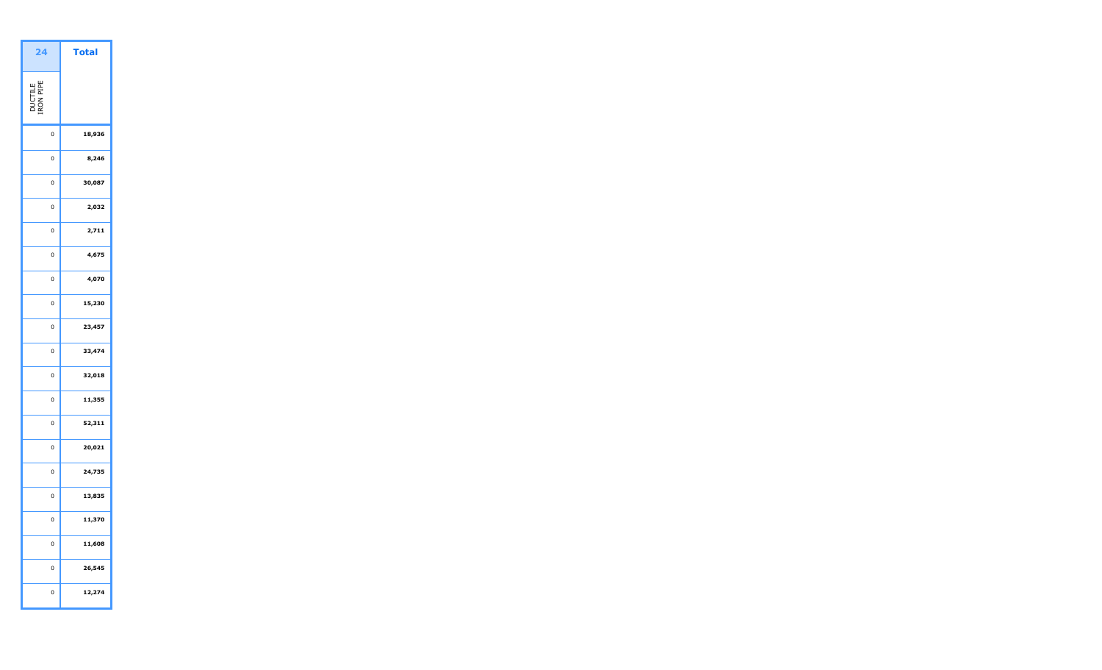| 24                   | <b>Total</b> |  |
|----------------------|--------------|--|
| DUCTILE<br>IRON PIPE |              |  |
| 0                    | 18,936       |  |
| 0                    | 8,246        |  |
| 0                    | 30,087       |  |
| 0                    | 2,032        |  |
| 0                    | 2,711        |  |
| 0                    | 4,675        |  |
| 0                    | 4,070        |  |
| 0                    | 15,230       |  |
| 0                    | 23,457       |  |
| 0                    | 33,474       |  |
| O                    | 32,018       |  |
| 0                    | 11,355       |  |
| 0                    | 52,311       |  |
| 0                    | 20,021       |  |
| 0                    | 24,735       |  |
| 0                    | 13,835       |  |
| 0                    | 11,370       |  |
| 0                    | 11,608       |  |
| 0                    | 26,545       |  |
| 0                    | 12,274       |  |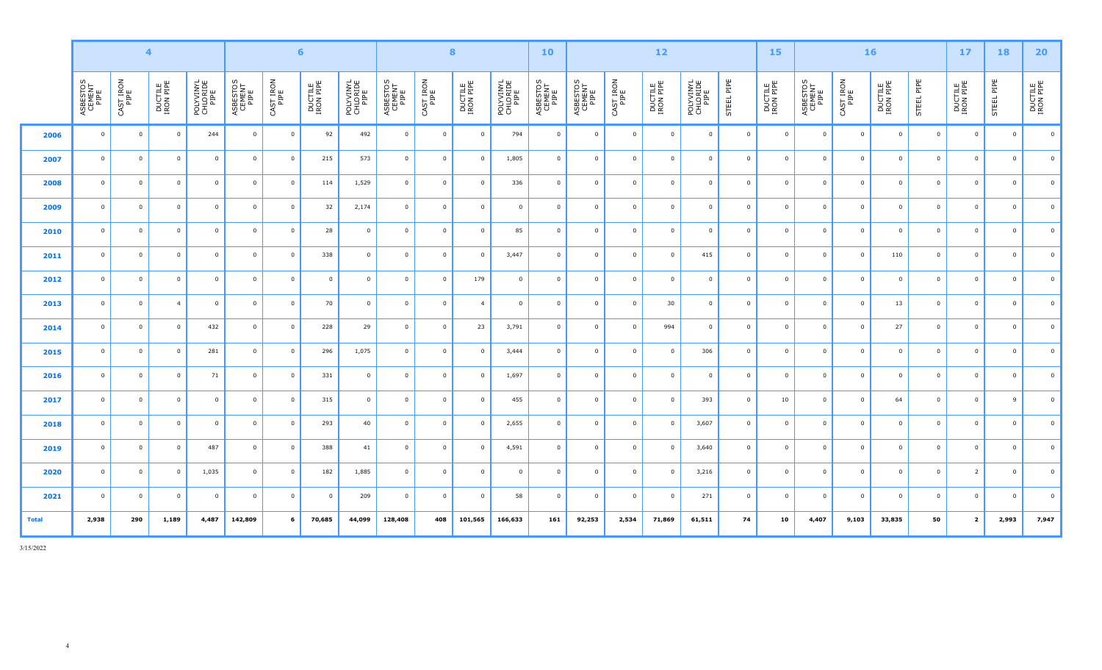|              |                            |                   | $\overline{\mathbf{4}}$ |                               |                            |                   | $6\phantom{1}$       |                               |                            |                   | $\bf{8}$                |                               | 10                         |                            |                   | $12$                 |                               |                | <b>15</b>            |                            |                   | 16                      |                     | 17                      | <b>18</b>               | 20                   |
|--------------|----------------------------|-------------------|-------------------------|-------------------------------|----------------------------|-------------------|----------------------|-------------------------------|----------------------------|-------------------|-------------------------|-------------------------------|----------------------------|----------------------------|-------------------|----------------------|-------------------------------|----------------|----------------------|----------------------------|-------------------|-------------------------|---------------------|-------------------------|-------------------------|----------------------|
|              | ASBESTOS<br>CEMENT<br>PIPE | CAST IRON<br>PIPE | DUCTILE<br>IRON PIPE    | POLYVINYL<br>CHLORIDE<br>PIPE | ASBESTOS<br>CEMENT<br>PIPE | CAST IRON<br>PIPE | DUCTILE<br>IRON PIPE | POLYVINYL<br>CHLORIDE<br>PIPE | ASBESTOS<br>CEMENT<br>PIPE | CAST IRON<br>PIPE | DUCTILE<br>IRON PIPE    | POLYVINYL<br>CHLORIDE<br>PIPE | ASBESTOS<br>CEMENT<br>PIPE | ASBESTOS<br>CEMENT<br>PIPE | CAST IRON<br>PIPE | DUCTILE<br>IRON PIPE | POLYVINYL<br>CHLORIDE<br>PIPE | STEEL PIPE     | DUCTILE<br>IRON PIPE | ASBESTOS<br>CEMENT<br>PIPE | CAST IRON<br>PIPE | DUCTILE<br>IRON PIPE    | STEEL PIPE          | DUCTILE<br>IRON PIPE    | STEEL PIPE              | DUCTILE<br>IRON PIPE |
| 2006         | $\overline{0}$             | $\mathbf 0$       | $\overline{0}$          | 244                           | $\overline{0}$             | $\mathbf 0$       | 92                   | 492                           | $\overline{0}$             | $\overline{0}$    | $\overline{0}$          | 794                           | $\overline{0}$             | $\overline{0}$             | $\overline{0}$    | $\overline{0}$       | $\overline{0}$                | $\overline{0}$ | $\overline{0}$       | $\overline{0}$             | $\overline{0}$    | $\overline{0}$          | $\mathbf{0}$        | $\overline{0}$          | $\overline{0}$          | $\overline{0}$       |
| 2007         | $\overline{0}$             | $\overline{0}$    | $\mathbf 0$             | $\overline{0}$                | $\mathbf{0}$               | $\overline{0}$    | 215                  | 573                           | $\overline{\mathbf{0}}$    | $\mathbf 0$       | $\overline{0}$          | 1,805                         | $\overline{0}$             | $\mathbf 0$                | $\overline{0}$    | $\overline{0}$       | $\overline{0}$                | $\mathbf 0$    | $\overline{0}$       | $\overline{0}$             | $\overline{0}$    | $\overline{0}$          | 0                   | $\overline{\mathbf{0}}$ | $\overline{0}$          | $\overline{0}$       |
| 2008         | $\overline{0}$             | $\overline{0}$    | $\mathbf 0$             | $\overline{0}$                | $\overline{0}$             | $\mathbf 0$       | 114                  | 1,529                         | $\overline{\mathbf{0}}$    | $\mathbf 0$       | $\overline{0}$          | 336                           | $\overline{0}$             | $\overline{0}$             | $\overline{0}$    | $\mathbf{0}$         | $\overline{0}$                | $\overline{0}$ | $\overline{0}$       | $\overline{0}$             | $\mathbf 0$       | $\overline{\mathbf{0}}$ | $\mathbf 0$         | $\overline{0}$          | $\overline{0}$          | $\overline{0}$       |
| 2009         | $\overline{0}$             | $\overline{0}$    | $\overline{0}$          | $\mathbf 0$                   | $\overline{0}$             | $\mathbf 0$       | 32                   | 2,174                         | $\overline{\mathbf{0}}$    | $\mathsf 0$       | $\overline{\mathbf{0}}$ | $\mathbf 0$                   | $\overline{0}$             | $\overline{0}$             | $\overline{0}$    | $\Omega$             | $\overline{0}$                | $\overline{0}$ | $\mathbf 0$          | $\overline{0}$             | $\mathsf 0$       | $\overline{\mathbf{0}}$ | $\mathsf{O}\xspace$ | $\overline{\mathbf{0}}$ | $\overline{\mathbf{0}}$ | $\overline{0}$       |
| 2010         | $\overline{0}$             | $\overline{0}$    | $\overline{0}$          | $\mathbf 0$                   | $\overline{0}$             | $\mathbf 0$       | 28                   | $\mathbf{0}$                  | $\overline{0}$             | $\mathbf 0$       | $\overline{0}$          | 85                            | $\overline{0}$             | $\mathbf 0$                | $\overline{0}$    | $\overline{0}$       | $\overline{0}$                | $\overline{0}$ | $\mathbf 0$          | $\overline{0}$             | $\mathsf 0$       | $\mathbf 0$             | $\mathbf{0}$        | $\overline{0}$          | $\overline{0}$          | $\overline{0}$       |
| 2011         | $\overline{0}$             | $\overline{0}$    | $\mathbf 0$             | $\mathbf 0$                   | $\overline{0}$             | $\mathbf 0$       | 338                  | $\mathbf 0$                   | $\overline{0}$             | $\mathbf 0$       | $\overline{0}$          | 3,447                         | $\overline{0}$             | $\overline{0}$             | $\overline{0}$    | $\overline{0}$       | 415                           | $\overline{0}$ | $\mathbf 0$          | $\overline{0}$             | $\overline{0}$    | 110                     | $\mathbf{0}$        | $\overline{0}$          | $\overline{0}$          | $\overline{0}$       |
| 2012         | $\Omega$                   | $\overline{0}$    | $\overline{0}$          | $\mathbf 0$                   | $\overline{0}$             | $\mathbf{0}$      | $\overline{0}$       | $\mathbf 0$                   | $\overline{0}$             | $\mathbf 0$       | 179                     | $\Omega$                      | $\overline{0}$             | $\overline{0}$             | $\overline{0}$    | $\Omega$             | $\overline{0}$                | $\mathbf{0}$   | $\overline{0}$       | $\Omega$                   | $\mathbf 0$       | $\overline{0}$          | $\mathbf 0$         | $\overline{0}$          | $\overline{0}$          | $\overline{0}$       |
| 2013         | $\overline{0}$             | $\overline{0}$    | $\overline{4}$          | $\overline{0}$                | $\overline{0}$             | $\mathbf 0$       | 70                   | $\mathbf{0}$                  | $\overline{0}$             | $\mathbf 0$       | $\overline{4}$          | $\overline{0}$                | $\overline{0}$             | $\overline{0}$             | $\overline{0}$    | 30                   | $\overline{0}$                | $\overline{0}$ | $\overline{0}$       | $\overline{0}$             | $\overline{0}$    | 13                      | $\mathbf{0}$        | $\overline{\mathbf{0}}$ | $\overline{0}$          | $\overline{0}$       |
| 2014         | $\Omega$                   | $\overline{0}$    | $\mathbf 0$             | 432                           | $\overline{0}$             | $\mathbf{0}$      | 228                  | 29                            | $\overline{0}$             | $\mathbf 0$       | 23                      | 3,791                         | $\overline{0}$             | $\mathbf 0$                | $\mathbf{0}$      | 994                  | $\overline{0}$                | $\mathbf{0}$   | $\overline{0}$       | $\overline{0}$             | $\overline{0}$    | 27                      | $\mathbf 0$         | $\overline{0}$          | $\mathbf{0}$            | $\overline{0}$       |
| 2015         | $\overline{0}$             | $\mathbf 0$       | $\overline{0}$          | 281                           | $\overline{0}$             | $\overline{0}$    | 296                  | 1,075                         | $\overline{0}$             | $\overline{0}$    | $\overline{0}$          | 3,444                         | $\overline{0}$             | $\overline{0}$             | $\overline{0}$    | $\overline{0}$       | 306                           | $\overline{0}$ | $\overline{0}$       | $\overline{0}$             | $\overline{0}$    | $\overline{0}$          | $\mathbf{0}$        | $\overline{0}$          | $\overline{0}$          | $\overline{0}$       |
| 2016         | $\overline{0}$             | $\overline{0}$    | $\overline{0}$          | 71                            | $\mathbf{0}$               | $\overline{0}$    | 331                  | $\mathbf{0}$                  | $\overline{\mathbf{0}}$    | $\mathbf 0$       | $\overline{0}$          | 1,697                         | $\overline{0}$             | $\overline{0}$             | $\overline{0}$    | $\overline{0}$       | $\overline{0}$                | $\overline{0}$ | $\overline{0}$       | $\overline{0}$             | $\overline{0}$    | $\overline{\mathbf{0}}$ | $\mathbf 0$         | $\overline{0}$          | $\overline{0}$          | $\overline{0}$       |
| 2017         | $\overline{0}$             | $\overline{0}$    | $\overline{0}$          | $\mathbf 0$                   | $\overline{0}$             | $\mathbf 0$       | 315                  | $\mathbf 0$                   | $\overline{0}$             | $\mathsf 0$       | $\overline{0}$          | 455                           | $\overline{0}$             | $\overline{0}$             | $\overline{0}$    | $\overline{0}$       | 393                           | $\mathbf 0$    | 10                   | $\overline{0}$             | $\overline{0}$    | 64                      | $\mathsf{O}\xspace$ | $\overline{\mathbf{0}}$ | 9                       | $\overline{0}$       |
| 2018         | $\Omega$                   | $\overline{0}$    | $\overline{0}$          | $\mathbf 0$                   | $\overline{0}$             | $\mathbf 0$       | 293                  | 40                            | $\overline{0}$             | $\mathbf 0$       | $\overline{0}$          | 2,655                         | $\overline{0}$             | $\overline{0}$             | $\overline{0}$    | $\Omega$             | 3,607                         | $\mathbf 0$    | $\mathbf 0$          | $\Omega$                   | $\mathbf 0$       | $\overline{0}$          | $\mathbf{0}$        | $\overline{0}$          | $\overline{0}$          | $\overline{0}$       |
| 2019         | $\Omega$                   | $\overline{0}$    | $\overline{0}$          | 487                           | $\Omega$                   | $\mathbf 0$       | 388                  | 41                            | $\Omega$                   | $\Omega$          | $\Omega$                | 4,591                         | $\overline{0}$             | $\overline{0}$             | $\Omega$          | $\Omega$             | 3,640                         | $\mathbf 0$    | $\Omega$             | $\Omega$                   | $\overline{0}$    | $\Omega$                | $\Omega$            | $\Omega$                | $\Omega$                | $\Omega$             |
| 2020         | $\overline{0}$             | $\overline{0}$    | $\mathbf 0$             | 1,035                         | $\mathbf{0}$               | $\mathbf 0$       | 182                  | 1,885                         | $\overline{0}$             | $\mathbf 0$       | $\overline{0}$          | $\overline{0}$                | $\overline{0}$             | $\overline{0}$             | $\overline{0}$    | $\overline{0}$       | 3,216                         | $\mathbf 0$    | $\overline{0}$       | $\overline{0}$             | $\overline{0}$    | $\overline{0}$          | $\mathbf{0}$        | $\overline{2}$          | $\overline{0}$          | $\overline{0}$       |
| 2021         | $\Omega$                   | $\overline{0}$    | $\mathbf 0$             | $\mathbf 0$                   | $\overline{0}$             | $\mathbf 0$       | $\overline{0}$       | 209                           | $\overline{0}$             | $\mathbf 0$       | $\overline{0}$          | 58                            | $\overline{0}$             | $\mathbf 0$                | $\overline{0}$    | $\Omega$             | 271                           | $\mathbf 0$    | $\overline{0}$       | $\overline{0}$             | $\overline{0}$    | $\mathbf 0$             | $\mathbf 0$         | $\overline{0}$          | $\mathbf{0}$            | $\overline{0}$       |
| <b>Total</b> | 2,938                      | 290               | 1,189                   | 4,487                         | 142,809                    | 6                 | 70,685               | 44,099                        | 128,408                    | 408               | 101,565                 | 166,633                       | 161                        | 92,253                     | 2,534             | 71,869               | 61,511                        | 74             | 10                   | 4,407                      | 9,103             | 33,835                  | 50                  | $\overline{\mathbf{2}}$ | 2,993                   | 7,947                |

3/15/2022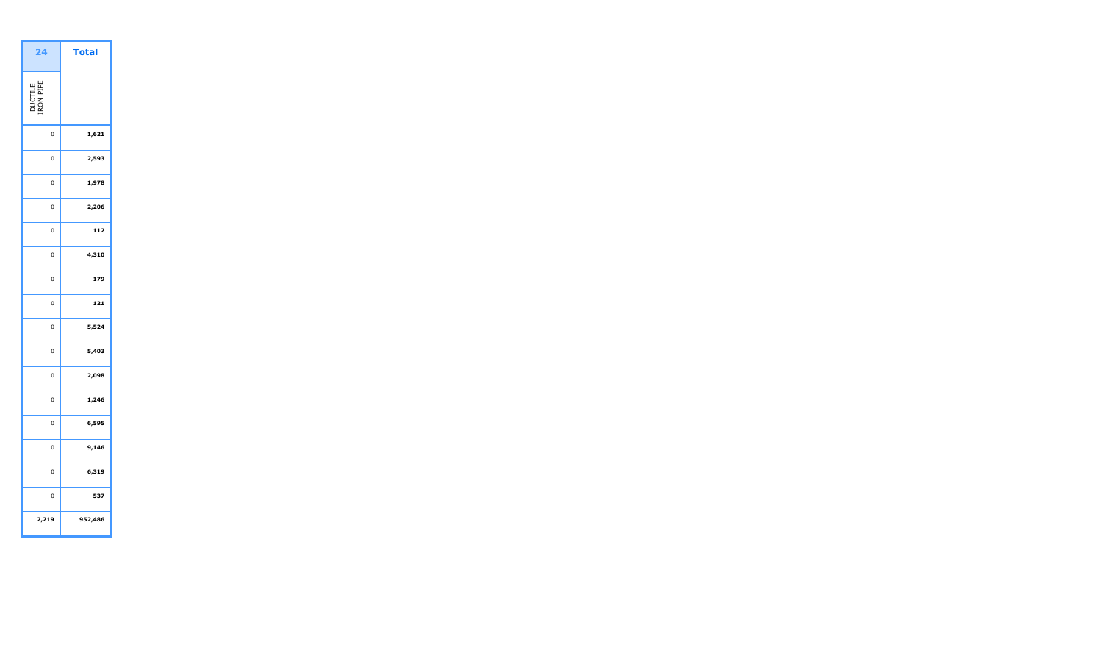| 'ota    | 24                   |
|---------|----------------------|
|         | DUCTILE<br>IRON PIPE |
| 1,621   | $\mathbf 0$          |
| 2,593   | 0                    |
| 1,978   | 0                    |
| 2,206   | $\mathbf 0$          |
| 112     | $\mathbf 0$          |
| 4,310   | $\mathbf 0$          |
| 179     | 0                    |
| 121     | 0                    |
| 5,524   | 0                    |
| 5,403   | $\overline{0}$       |
| 2,098   | $\mathbf 0$          |
| 1,246   | $\overline{0}$       |
| 6,595   | $\mathbf 0$          |
| 9,146   | 0                    |
| 6,319   | $\mathbf 0$          |
| 537     | $\mathbf{0}$         |
| 952,486 | 2,219                |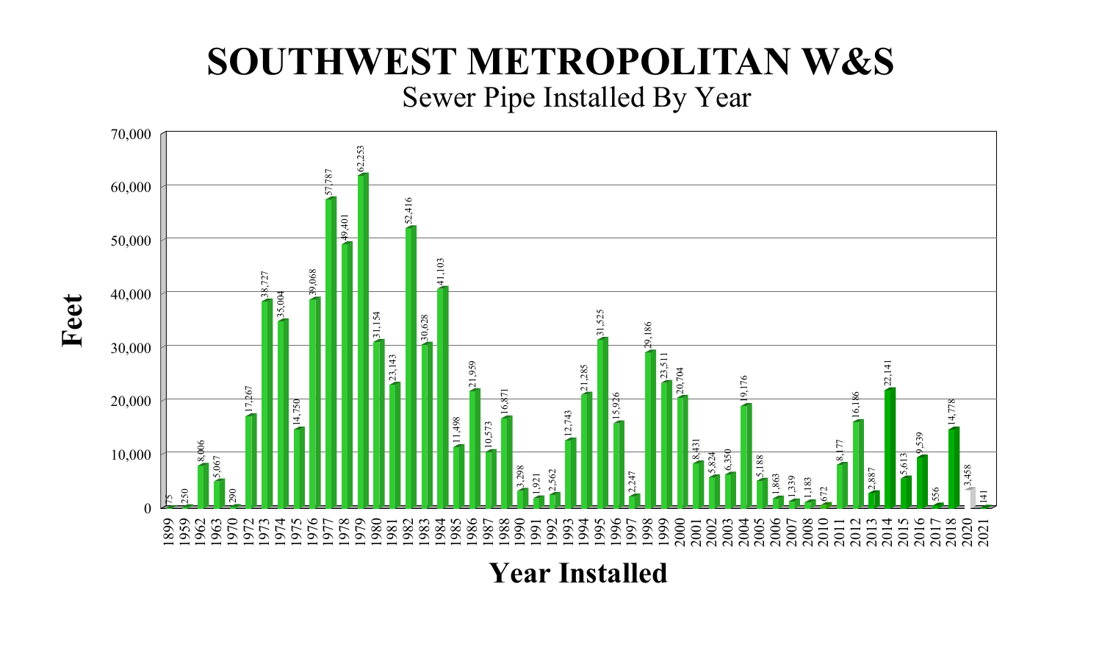# Sewer Pipe Installed By Year **SOUTHWEST METROPOLITAN W&S**



**Year Installed**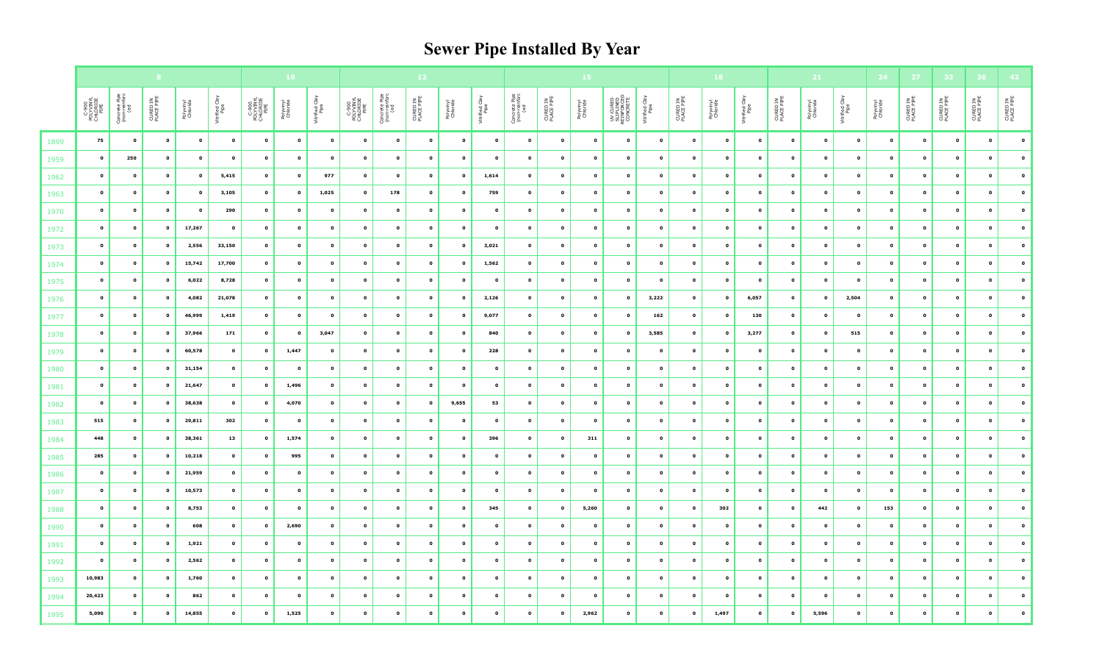# **Sewer Pipe Installed By Year**

|              |                                        |                                       |                         |                       |                        |                                        | 10 <sub>1</sub>       |                        | 12                                     |                                       |                        |                           | 15                     |                                       |                          |                       | 18                                                 |                          |                            |                          | 21                        |                            | 24                          | $272$                       | 33                          |                        |                            |                             |                            |
|--------------|----------------------------------------|---------------------------------------|-------------------------|-----------------------|------------------------|----------------------------------------|-----------------------|------------------------|----------------------------------------|---------------------------------------|------------------------|---------------------------|------------------------|---------------------------------------|--------------------------|-----------------------|----------------------------------------------------|--------------------------|----------------------------|--------------------------|---------------------------|----------------------------|-----------------------------|-----------------------------|-----------------------------|------------------------|----------------------------|-----------------------------|----------------------------|
|              | C-900<br>POLYVINYL<br>CHLORIDE<br>PIPE | Concrete Pipe<br>(non-reinforc<br>(ed | CURED IN<br>PLACE PIPE  | Polyvinyl<br>Chloride | Vitrified Clay<br>Pipe | C-900<br>POLYVINYL<br>CHLORIDE<br>PIPE | Polyvinyl<br>Chloride | Vitrified Clay<br>Pipe | C-900<br>POLYVINYL<br>CHLORIDE<br>PIPE | Concrete Pipe<br>(non-reinforc<br>(ed | CURED IN<br>PLACE PIPE | Polyvinyl<br>Chloride     | Vitrified Clay<br>Pipe | Concrete Pipe<br>(non-reinforc<br>(ed | CURED IN<br>PLACE PIPE   | Polyvinyl<br>Chloride | UV-CURED<br>SLIPLINED<br>REINFORCED<br>REINFORCETE | Vitrified Clay<br>Pipe   | CURED IN<br>PLACE PIPE     | Polyvinyl<br>Chloride    | Vitrified Clay<br>Pipe    | CURED IN<br>PLACE PIPE     | Polyvinyl<br>Chloride       | Vitrified Clay<br>Pipe      | Polyvinyl<br>Chloride       | CURED IN<br>PLACE PIPE | CURED IN<br>PLACE PIPE     | CURED IN<br>PLACE PIPE      | CURED IN<br>PLACE PIPE     |
| 1899         | 75                                     | $\bullet$                             | $\bullet$               | $\bullet$             | $\bullet$              | $\bullet$                              | $\bullet$             | $\bullet$              | $\bullet$                              | $\bullet$                             | $\bullet$              | $\mathbf{o}$              | $\mathbf{0}$           | $\mathbf{o}$                          | $\bullet$                | $\mathbf{0}$          | $\bullet$                                          | $\mathbf{o}$             | $\bullet$                  | $\bullet$                | $\bullet$                 | $\mathbf{o}$               | $\mathbf{o}$                | $\bullet$                   | $\bullet$                   | $\bullet$              | $\mathbf{o}$               | $\bullet$                   | $\bullet$                  |
| 1959         | $\bullet$                              | 250                                   | $\bullet$               | $\bullet$             | $\bullet$              | $\bullet$                              | $\bullet$             | $\bullet$              | $\bullet$                              | $\mathbf 0$                           | $\bullet$              | $\bullet$                 | $\bullet$              | $\bullet$                             | $\bullet$                | $\bullet$             | $\mathbf{o}$                                       | $\bullet$                | $\mathbf 0$                | $\bullet$                | $\mathbf 0$               | $\mathbf 0$                | $\pmb{\mathsf{o}}$          | $\mathbf 0$                 | $\overline{\mathbf{0}}$     | $\bullet$              | $\mathbf{o}$               | $\bullet$                   | $\mathbf 0$                |
| 1962         | $\bullet$                              | $\mathbf 0$                           | $\pmb{\mathsf{o}}$      | $\mathbf 0$           | 5,415                  | $\mathbf 0$                            | $\bullet$             | 977                    | $\bullet$                              | $\bullet$                             | $\bullet$              | $\bullet$                 | 1,614                  | $\mathbf{o}$                          | $\pmb{\mathsf{o}}$       | $\bullet$             | $\bullet$                                          | $\mathbf 0$              | $\mathbf 0$                | $\mathbf 0$              | $\pmb{\mathsf{o}}$        | $\mathbf 0$                | $\mathbf 0$                 | $\mathbf{o}$                | $\overline{\mathbf{0}}$     | $\bullet$              | $\mathbf{o}$               | $\mathbf 0$                 | $\mathbf 0$                |
| 1963         | $\bullet$                              | $\mathbf 0$                           | $\bullet$               | $\mathbf{o}$          | 3,105                  | $\mathbf{o}$                           | $\bullet$             | 1,025                  | $\bullet$                              | 178                                   | $\bullet$              | $\bullet$                 | 759                    | $\bullet$                             | $\bullet$                | $\bullet$             | $\bullet$                                          | $\mathbf{o}$             | $\mathbf{o}$               | $\mathbf{o}$             | $\mathbf 0$               | $\pmb{\mathsf{o}}$         | $\mathbf{o}$                | $\mathbf 0$                 | $\mathbf 0$                 | $\bullet$              | $\mathbf 0$                | $\mathbf{o}$                | $\pmb{\mathsf{o}}$         |
| 1970         | $\bullet$                              | 0                                     | $\bullet$               | $\bullet$             | 290                    | $\mathbf{o}$                           | $\bullet$             | $\bullet$              | $\bullet$                              | $\bullet$                             | $\bullet$              | $\bullet$                 | $\bullet$              | $\bullet$                             | $\bullet$                | $\bullet$             | $\bullet$                                          | $\bullet$                | $\mathbf 0$                | $\mathbf{o}$             | $\pmb{\mathsf{o}}$        | $\mathbf 0$                | $\mathbf 0$                 | $\mathbf 0$                 | $\bullet$                   | $\bullet$              | $\mathbf{o}$               | $\mathbf{o}$                | $\mathbf 0$                |
| 1972         | $\bullet$                              | $\pmb{\mathsf{o}}$                    | $\mathbf{o}$            | 17,267                | $\bullet$              | $\pmb{\mathsf{o}}$                     | $\bullet$             | $\bullet$              | $\mathbf{o}$                           | $\bullet$                             | $\bullet$              | $\bullet$                 | $\bullet$              | $\bullet$                             | $\bullet$                | $\bullet$             | $\bullet$                                          | $\mathbf 0$              | $\mathbf 0$                | $\mathbf{o}$             | $\mathbf{o}$              | $\mathbf 0$                | $\mathbf{o}$                | $\mathbf{o}$                | $\mathbf{o}$                | $\bullet$              | $\mathbf 0$                | $\mathbf 0$                 | $\mathbf{o}$               |
| 1973         | $\bullet$                              | $\mathbf{o}$                          | $\bullet$               | 2,556                 | 33,150                 | $\mathbf{o}$                           | $\mathbf 0$           | $\mathbf 0$            | $\bullet$                              | $\mathbf{o}$                          | $\bullet$              | $\mathbf{o}$              | 3,021                  | $\mathbf{o}$                          | $\mathbf{o}$             | $\mathbf{o}$          | $\mathbf{o}$                                       | $\mathbf 0$              | $\mathbf 0$                | $\bullet$                | $\mathbf{o}$              | $\mathbf 0$                | $\mathbf{o}$                | $\mathbf 0$                 | $\mathbf 0$                 | $\bullet$              | $\mathbf 0$                | $\mathbf{o}$                | $\mathbf 0$                |
| 1974         | $\bullet$                              | $\mathbf{o}$                          | $\bullet$               | 15,742                | 17,700                 | $\mathbf 0$                            | $\mathbf{o}$          | $\bullet$              | $\bullet$                              | $\mathbf{o}$                          | $\bullet$              | $\mathbf{o}$              | 1,562                  | $\bullet$                             | $\bullet$                | $\mathbf{o}$          | $\bullet$                                          | $\bullet$                | $\mathbf{o}$               | $\bullet$                | $\mathbf{o}$              | $\mathbf 0$                | $\mathbf 0$                 | $\mathbf{o}$                | $\mathbf 0$                 | $\bullet$              | $\mathbf 0$                | $\mathbf 0$                 | $\pmb{\mathsf{o}}$         |
| 1975         | $\bullet$                              | $\mathbf{o}$                          | $\mathbf{o}$            | 6,022                 | 8,728                  | $\mathbf{o}$                           | $\bullet$             | $\bullet$              | $\mathbf{o}$                           | $\bullet$                             | $\bullet$              | $\mathbf{o}$              | $\bullet$              | $\mathbf{o}$                          | $\bullet$                | $\bullet$             | $\mathbf{o}$                                       | $\bullet$                | $\mathbf{o}$               | $\mathbf{o}$             | $\bullet$                 | $\mathbf 0$                | $\mathbf{o}$                | $\overline{\mathbf{0}}$     | $\overline{\mathbf{0}}$     | $\bullet$              | $\mathbf{o}$               | $\bullet$                   | $\mathbf 0$                |
| 1976         | $\bullet$                              | $\pmb{\mathsf{o}}$                    | $\bullet$               | 4,082                 | 21,078                 | $\mathbf 0$                            | $\mathbf 0$           | $\bullet$              | $\mathbf{o}$                           | $\pmb{\mathsf{o}}$                    | $\bullet$              | $\bullet$                 | 2,126                  | $\bullet$                             | $\bullet$                | $\mathbf{0}$          | $\bullet$                                          | 3,222                    | $\mathbf 0$                | $\mathbf{o}$             | 6,057                     | $\pmb{\mathsf{o}}$         | $\mathbf 0$                 | 2,504                       | $\mathbf 0$                 | $\mathbf 0$            | $\mathbf 0$                | $\mathbf 0$                 | $\pmb{\mathsf{o}}$         |
| 1977         | $\bullet$                              | $\mathbf 0$                           | $\pmb{\mathsf{o}}$      | 46,999                | 1,419                  | $\mathbf 0$                            | $\mathbf 0$           | $\bullet$              | $\bullet$                              | $\mathbf{o}$                          | $\bullet$              | $\bullet$                 | 9,077                  | $\mathbf{o}$                          | $\bullet$                | $\mathbf{0}$          | $\bullet$                                          | 162                      | $\mathbf 0$                | $\mathbf 0$              | 130                       | $\mathbf 0$                | $\mathbf 0$                 | $\mathbf 0$                 | $\bullet$                   | $\bullet$              | $\mathbf 0$                | $\mathbf 0$                 | $\mathbf{o}$               |
| 1978         | $\bullet$                              | $\pmb{\mathsf{o}}$                    | $\mathbf{o}$            | 37,966                | 171                    | $\mathbf{o}$                           | $\mathbf{o}$          | 3,047                  | $\bullet$                              | $\bullet$                             | $\bullet$              | $\mathbf{o}$              | 840                    | $\mathbf{o}$                          | $\bullet$                | $\bullet$             | $\bullet$                                          | 3,585                    | $\mathbf 0$                | $\mathbf{o}$             | 3,277                     | $\mathbf 0$                | $\mathbf 0$                 | 515                         | $\mathbf{o}$                | $\bullet$              | $\mathbf 0$                | $\bullet$                   | $\mathbf 0$                |
| 1979         | $\bullet$                              | $\pmb{\mathsf{o}}$                    | $\pmb{\mathsf{o}}$      | 60,578                | $\bullet$              | $\mathbf{o}$                           | 1,447                 | $\mathbf 0$            | $\mathbf{o}$                           | $\mathbf{o}$                          | $\bullet$              | $\bullet$                 | 228                    | $\mathbf{o}$                          | $\mathbf{o}$             | $\mathbf{o}$          | $\mathbf 0$                                        | $\mathbf 0$              | $\mathbf 0$                | $\mathbf 0$              | $\bullet$                 | $\mathbf 0$                | $\mathbf{o}$                | $\mathbf{o}$                | $\mathbf 0$                 | $\bullet$              | $\mathbf 0$                | $\mathbf 0$                 | $\mathbf{o}$               |
| 1980         | $\bullet$                              | $\mathbf 0$                           | $\mathbf{o}$            | 31,154                | $\bullet$              | $\mathbf{o}$                           | $\bullet$             | $\bullet$              | $\bullet$                              | $\mathbf{o}$                          | $\bullet$              | $\mathbf{o}$              | $\bullet$              | $\bullet$                             | $\bullet$                | $\bullet$             | $\bullet$                                          | $\mathbf{o}$             | $\mathbf 0$                | $\mathbf 0$              | $\mathbf{o}$              | $\mathbf 0$                | $\mathbf 0$                 | $\mathbf{o}$                | $\bullet$                   | $\bullet$              | $\mathbf 0$                | $\mathbf 0$                 | $\mathbf{o}$               |
| 1981         | $\bullet$                              | $\pmb{\mathsf{o}}$                    | 0                       | 21,647                | $\mathbf{o}$           | $\mathbf{o}$                           | 1,496                 | $\bullet$              | $\mathbf 0$                            | $\bullet$                             | $\bullet$              | $\bullet$                 | $\bullet$              | $\bullet$                             | $\bullet$                | $\bullet$             | $\bullet$                                          | $\bullet$                | $\mathbf 0$                | $\bullet$                | $\pmb{\mathsf{o}}$        | $\mathbf 0$                | $\mathbf 0$                 | $\mathbf 0$                 | $\bullet$                   | $\bullet$              | $\mathbf 0$                | $\mathbf 0$                 | $\mathbf 0$                |
| 1982         | $\bullet$                              | $\mathbf{o}$                          | $\mathbf 0$             | 38,638                | $\bullet$              | $\pmb{\mathsf{o}}$                     | 4,070                 | $\bullet$              | $\mathbf{o}$                           | $\pmb{\mathsf{o}}$                    | $\bullet$              | 9,655                     | 53                     | $\mathbf 0$                           | $\pmb{\mathsf{o}}$       | $\mathbf 0$           | $\bullet$                                          | $\mathbf 0$              | $\mathbf{o}$               | $\mathbf 0$              | $\pmb{\mathsf{o}}$        | $\mathbf{o}$               | $\pmb{\circ}$               | $\mathbf{o}$                | $\mathbf 0$                 | $\bullet$              | $\pmb{\mathsf{o}}$         | $\mathbf 0$                 | $\mathbf 0$                |
| 1983         | 515                                    | $\mathbf 0$                           | $\bullet$               | 29,811                | 302                    | $\mathbf{o}$                           | $\bullet$             | $\bullet$              | $\bullet$                              | $\bullet$                             | $\bullet$              | $\bullet$                 | $\bullet$              | $\bullet$                             | $\bullet$                | $\bullet$             | $\bullet$                                          | $\mathbf{o}$             | $\bullet$                  | $\bullet$                | $\bullet$                 | $\mathbf 0$                | $\mathbf{o}$                | $\mathbf 0$                 | $\bullet$                   | $\bullet$              | $\mathbf 0$<br>$\mathbf 0$ | $\mathbf{o}$<br>$\mathbf 0$ | $\mathbf 0$<br>$\mathbf 0$ |
| 1984         | 448<br>285                             | 0<br>$\pmb{\mathsf{o}}$               | 0<br>$\pmb{\mathsf{o}}$ | 38,361<br>10,218      | 13<br>$\bullet$        | $\bullet$<br>$\mathbf{o}$              | 1,574<br>995          | $\bullet$<br>$\bullet$ | $\bullet$<br>$\mathbf{o}$              | $\bullet$<br>$\mathbf{o}$             | $\bullet$<br>$\bullet$ | $\mathbf{o}$<br>$\bullet$ | 396<br>$\bullet$       | $\bullet$<br>$\bullet$                | $\bullet$<br>$\mathbf 0$ | 311<br>$\bullet$      | $\bullet$<br>$\bullet$                             | $\bullet$<br>$\mathbf 0$ | $\mathbf 0$<br>$\mathbf 0$ | $\bullet$<br>$\mathbf 0$ | $\bullet$<br>$\mathbf{o}$ | $\mathbf 0$<br>$\mathbf 0$ | $\mathbf 0$<br>$\mathbf{o}$ | $\mathbf{o}$<br>$\mathbf 0$ | $\mathbf{o}$<br>$\mathbf 0$ | $\bullet$<br>$\bullet$ | $\mathbf 0$                | $\mathbf 0$                 | $\mathbf 0$                |
| 1985<br>1986 | $\bullet$                              | $\mathbf 0$                           | $\bullet$               | 21,959                | $\bullet$              | $\bullet$                              | $\bullet$             | $\bullet$              | $\bullet$                              | $\bullet$                             | $\bullet$              | $\bullet$                 | $\bullet$              | $\bullet$                             | $\bullet$                | $\mathbf{0}$          | $\bullet$                                          | $\bullet$                | $\mathbf 0$                | $\mathbf{o}$             | $\mathbf{o}$              | $\mathbf 0$                | $\mathbf 0$                 | $\mathbf 0$                 | $\bullet$                   | $\bullet$              | $\mathbf{o}$               | $\bullet$                   | $\bullet$                  |
| 1987         | $\bullet$                              | $\pmb{\mathsf{o}}$                    | $\pmb{\mathsf{o}}$      | 10,573                | $\bullet$              | $\mathbf{o}$                           | $\bullet$             | $\bullet$              | $\mathbf{o}$                           | $\bullet$                             | $\bullet$              | $\bullet$                 | $\bullet$              | $\bullet$                             | $\bullet$                | $\bullet$             | $\bullet$                                          | $\bullet$                | $\mathbf{o}$               | $\bullet$                | $\bullet$                 | $\mathbf 0$                | $\pmb{\mathsf{o}}$          | $\mathbf{o}$                | $\overline{\mathbf{0}}$     | $\bullet$              | $\mathbf 0$                | $\mathbf 0$                 | $\mathbf 0$                |
| 1988         | $\bullet$                              | $\mathbf 0$                           | $\mathbf{o}$            | 8,753                 | $\bullet$              | $\mathbf 0$                            | $\bullet$             | $\bullet$              | $\mathbf 0$                            | $\bullet$                             | $\bullet$              | $\bullet$                 | 345                    | $\bullet$                             | $\bullet$                | 5,260                 | $\bullet$                                          | $\mathbf 0$              | $\mathbf 0$                | 302                      | $\mathbf{o}$              | $\mathbf 0$                | 442                         | $\overline{\mathbf{0}}$     | 153                         | $\bullet$              | $\mathbf 0$                | $\bullet$                   | $\pmb{\mathsf{o}}$         |
| 1990         | $\bullet$                              | $\mathbf 0$                           | $\mathbf{o}$            | 608                   | $\mathbf{o}$           | $\mathbf{o}$                           | 2,690                 | $\bullet$              | $\bullet$                              | $\bullet$                             | $\bullet$              | $\bullet$                 | $\bullet$              | $\bullet$                             | $\bullet$                | $\bullet$             | $\mathbf{o}$                                       | $\mathbf{o}$             | $\mathbf 0$                | $\mathbf{o}$             | $\mathbf{o}$              | $\mathbf 0$                | $\mathbf{o}$                | $\mathbf 0$                 | $\bullet$                   | $\bullet$              | $\mathbf 0$                | $\bullet$                   | $\mathbf 0$                |
| 1991         | $\bullet$                              | $\mathbf 0$                           | $\mathbf 0$             | 1,921                 | $\pmb{\mathsf{o}}$     | $\pmb{\mathsf{o}}$                     | $\bullet$             | $\bullet$              | $\mathbf 0$                            | $\mathbf{o}$                          | $\mathbf 0$            | $\bullet$                 | $\mathbf{o}$           | $\bullet$                             | $\mathbf 0$              | $\mathbf 0$           | $\bullet$                                          | $\mathbf{o}$             | $\mathbf 0$                | $\mathbf{o}$             | $\mathbf{o}$              | $\mathbf 0$                | $\mathbf 0$                 | $\mathbf 0$                 | $\bullet$                   | $\bullet$              | $\mathbf{o}$               | $\mathbf 0$                 | $\mathbf 0$                |
| 1992         | $\bullet$                              | $\pmb{\mathsf{o}}$                    | $\bullet$               | 2,562                 | $\mathbf{o}$           | $\mathbf{o}$                           | $\mathbf 0$           | $\bullet$              | $\bullet$                              | $\mathbf{o}$                          | $\bullet$              | $\bullet$                 | $\mathbf{o}$           | $\mathbf{o}$                          | $\bullet$                | $\mathbf{o}$          | $\bullet$                                          | $\mathbf{o}$             | $\mathbf 0$                | $\mathbf{o}$             | $\mathbf{o}$              | $\mathbf 0$                | $\pmb{\circ}$               | $\mathbf{o}$                | $\mathbf 0$                 | $\bullet$              | $\mathbf 0$                | $\bullet$                   | $\bullet$                  |
| 1993         | 10,983                                 | $\mathbf{o}$                          | $\pmb{\mathsf{o}}$      | 1,760                 | $\bullet$              | $\mathbf{o}$                           | $\mathbf 0$           | $\bullet$              | $\bullet$                              | $\bullet$                             | $\bullet$              | $\bullet$                 | $\bullet$              | $\bullet$                             | $\bullet$                | $\bullet$             | $\bullet$                                          | $\mathbf{o}$             | $\mathbf 0$                | $\mathbf{o}$             | $\mathbf{o}$              | $\mathbf 0$                | $\mathbf 0$                 | $\mathbf 0$                 | $\mathbf 0$                 | $\bullet$              | $\mathbf 0$                | $\mathbf{o}$                | $\bullet$                  |
| 1994         | 20,423                                 | $\pmb{\mathsf{o}}$                    | $\mathbf{o}$            | 862                   | $\bullet$              | $\mathbf{o}$                           | $\mathbf 0$           | $\bullet$              | $\mathbf{o}$                           | $\mathbf{o}$                          | $\mathbf 0$            | $\bullet$                 | $\mathbf{o}$           | $\bullet$                             | $\mathbf{o}$             | $\bullet$             | $\bullet$                                          | $\mathbf{o}$             | $\mathbf 0$                | $\mathbf 0$              | $\mathbf{o}$              | $\mathbf 0$                | $\mathbf{o}$                | $\mathbf 0$                 | $\mathbf{o}$                | $\bullet$              | $\mathbf 0$                | $\mathbf{o}$                | $\mathbf 0$                |
| 1995         | 5,090                                  | $\pmb{\mathsf{o}}$                    | $\mathbf 0$             | 14,855                | $\pmb{\mathsf{o}}$     | $\mathbf{o}$                           | 1,525                 | $\mathbf 0$            | $\mathbf{o}$                           | $\mathbf 0$                           | $\mathbf 0$            | $\mathbf{o}$              | $\bullet$              |                                       | $\mathbf{o}$             | 2,962                 | $\mathbf{o}$                                       | $\pmb{\mathsf{o}}$       | $\mathbf{o}$               | 1,497                    | $\mathbf 0$               | $\mathbf{o}$               | 5,596                       | $\mathbf{o}$                | $\pmb{\mathsf{o}}$          | $\mathbf{o}$           | $\mathbf{o}$               |                             | $\pmb{\mathsf{o}}$         |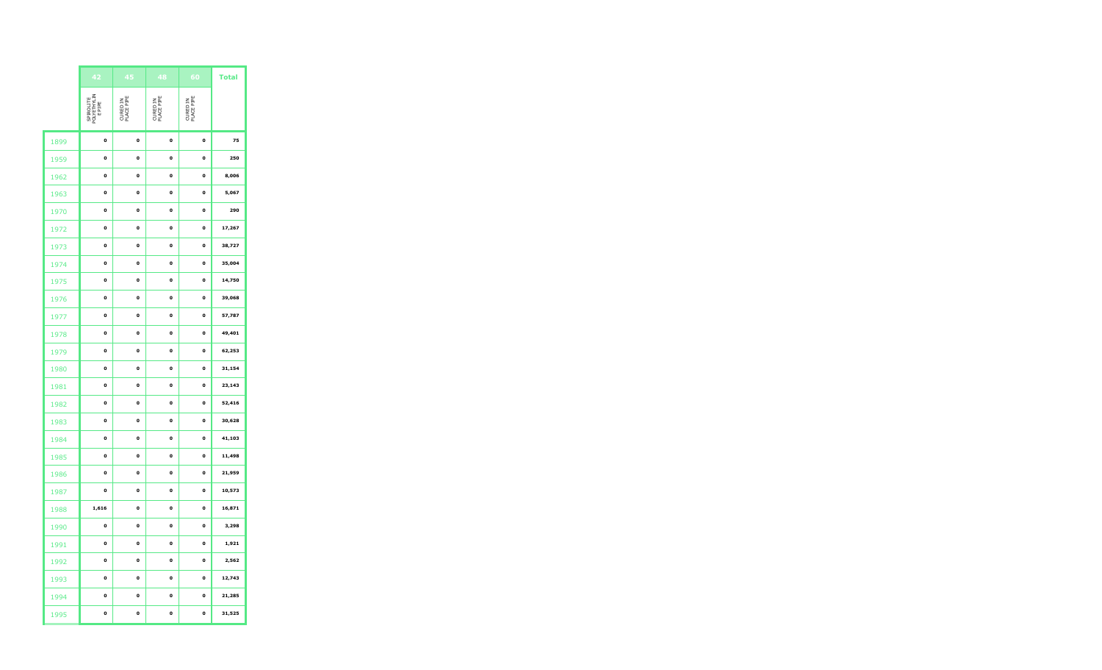|      | 42                                 | 45                     | 48                     | 60                     | <b>Total</b> |
|------|------------------------------------|------------------------|------------------------|------------------------|--------------|
|      | SPIROLITE<br>POLYETHYLIN<br>E PIPE | CURED IN<br>PLACE PIPE | CURED IN<br>PLACE PIPE | CURED IN<br>PLACE PIPE |              |
| 1899 | o                                  | o                      | o                      | o                      | 75           |
| 1959 | o                                  | o                      | o                      | o                      | 250          |
| 1962 | 0                                  | 0                      | 0                      | o                      | 8,006        |
| 1963 | o                                  | o                      | o                      | o                      | 5,067        |
| 1970 | o                                  | o                      | o                      | o                      | 290          |
| 1972 | 0                                  | 0                      | o                      | o                      | 17,267       |
| 1973 | 0                                  | 0                      | 0                      | o                      | 38,727       |
| 1974 | o                                  | $\mathbf{o}$           | o                      | o                      | 35,004       |
| 1975 | 0                                  | 0                      | 0                      | $\mathbf 0$            | 14,750       |
| 1976 | 0                                  | 0                      | 0                      | o                      | 39,068       |
| 1977 | o                                  | o                      | o                      | o                      | 57,787       |
| 1978 | 0                                  | 0                      | 0                      | $\mathbf 0$            | 49,401       |
| 1979 | o                                  | o                      | o                      | o                      | 62,253       |
| 1980 | o                                  | $\mathbf{o}$           | o                      | o                      | 31,154       |
| 1981 | 0                                  | 0                      | 0                      | o                      | 23,143       |
| 1982 | o                                  | o                      | o                      | o                      | 52,416       |
| 1983 | o                                  | o                      | o                      | $\mathbf{o}$           | 30,628       |
| 1984 | 0                                  | 0                      | 0                      | o                      | 41,103       |
| 1985 | o                                  | o                      | o                      | o                      | 11,498       |
| 1986 | o                                  | o                      | o                      | o                      | 21,959       |
| 1987 | 0                                  | 0                      | 0                      | o                      | 10,573       |
| 1988 | 1,616                              | o                      | o                      | o                      | 16,871       |
| 1990 | o                                  | o                      | o                      | o                      | 3,298        |
| 1991 | 0                                  | 0                      | 0                      | o                      | 1,921        |
| 1992 | o                                  | o                      | o                      | o                      | 2,562        |
| 1993 | o                                  | o                      | o                      | o                      | 12,743       |
| 1994 | 0                                  | 0                      | 0                      | o                      | 21,285       |
| 1995 | o                                  | o                      | o                      | o                      | 31,525       |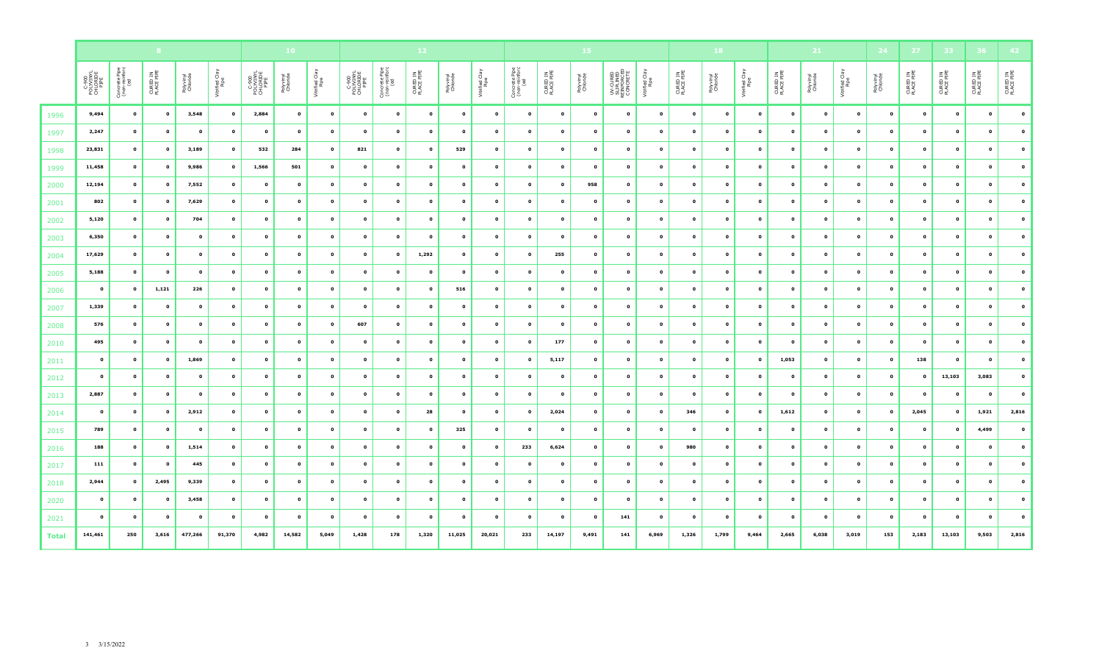|              |                                        |                                       |                        |                       |                        |                                        | 10 <sub>1</sub>       |                        |                                        | $12$                                  |                        |                       |                        |                                       |                        | 15                    |                                                    |                        |                        | 18                    |                        |                        | 21                    |                        | 24                    | 27 <sub>2</sub>        | 33                     |                        |                        |
|--------------|----------------------------------------|---------------------------------------|------------------------|-----------------------|------------------------|----------------------------------------|-----------------------|------------------------|----------------------------------------|---------------------------------------|------------------------|-----------------------|------------------------|---------------------------------------|------------------------|-----------------------|----------------------------------------------------|------------------------|------------------------|-----------------------|------------------------|------------------------|-----------------------|------------------------|-----------------------|------------------------|------------------------|------------------------|------------------------|
|              | C-900<br>POLYVINYL<br>CHLORIDE<br>PIPE | Concrete Pipe<br>(non-reinforc<br>(ed | CURED IN<br>PLACE PIPE | Polyvinyl<br>Chloride | Vitrified Clay<br>Pipe | C-900<br>POLYVINYL<br>CHLORIDE<br>PIPE | Polyvinyl<br>Chloride | Vitrified Clay<br>Pipe | C-900<br>POLYVINYL<br>CHLORIDE<br>PIPE | Concrete Pipe<br>(non-reinforc<br>(ed | CURED IN<br>PLACE PIPE | Polyvinyl<br>Chloride | Vitrified Clay<br>Pipe | Concrete Pipe<br>(non-reinforc<br>(ed | CURED IN<br>PLACE PIPE | Polyvinyl<br>Chloride | UV-CURED<br>SLIPLINED<br>REINFORCED<br>REINFORCETE | Vitrified Clay<br>Pipe | CURED IN<br>PLACE PIPE | Polyvinyl<br>Chloride | Vitrified Clay<br>Pipe | CURED IN<br>PLACE PIPE | Polyvinyl<br>Chloride | Vitrified Clay<br>Pipe | Polyvinyl<br>Chloride | CURED IN<br>PLACE PIPE | CURED IN<br>PLACE PIPE | CURED IN<br>PLACE PIPE | CURED IN<br>PLACE PIPE |
| 1996         | 9,494                                  | $\mathbf{o}$                          | $\mathbf{o}$           | 3,548                 | $\bullet$              | 2,884                                  | $\bullet$             | $\bullet$              | $\bullet$                              | $\bullet$                             | $\bullet$              | $\bullet$             | $\mathbf{o}$           | $\mathbf{o}$                          | $\bullet$              | $\bullet$             | $\bullet$                                          | $\mathbf{o}$           | $\bullet$              | $\bullet$             | $\mathbf{o}$           | $\bullet$              | $\bullet$             | $\bullet$              | $\bullet$             | $\bullet$              | $\bullet$              | $\mathbf{o}$           | $\bullet$              |
| 1997         | 2,247                                  | $\mathbf{o}$                          | $\bullet$              | $\mathbf{o}$          | $\bullet$              | $\mathbf 0$                            | $\bullet$             | $\bullet$              | $\bullet$                              | $\bullet$                             | $\bullet$              | $\bullet$             | $\bullet$              | $\bullet$                             | $\bullet$              | $\mathbf 0$           | $\bullet$                                          | $\mathbf{o}$           | $\mathbf 0$            | $\bullet$             | $\mathbf{o}$           | $\bullet$              | $\mathbf{o}$          | $\mathbf{o}$           | $\bullet$             | $\bullet$              | $\bullet$              | $\bullet$              | $\mathbf{o}$           |
| 1998         | 23,831                                 | $\mathbf{o}$                          | $\mathbf{o}$           | 3,189                 | $\mathbf{o}$           | 532                                    | 284                   | $\mathbf{o}$           | 821                                    | $\bullet$                             | $\mathbf{o}$           | 529                   | $\bullet$              | $\bullet$                             | $\mathbf{o}$           | $\mathbf{o}$          | $\mathbf{o}$                                       | $\mathbf 0$            | $\mathbf 0$            | $\mathbf{o}$          | $\mathbf{o}$           | $\bullet$              | $\mathbf 0$           | $\mathbf 0$            | $\mathbf{o}$          | $\bullet$              | $\mathbf{o}$           | $\mathbf{o}$           | $\mathbf 0$            |
| 1999         | 11,458                                 | $\bullet$                             | $\mathbf{o}$           | 9,986                 | $\bullet$              | 1,566                                  | 501                   | $\mathbf{o}$           | $\mathbf 0$                            | $\bullet$                             | $\bullet$              | $\bullet$             | $\bullet$              | $\mathbf{o}$                          | $\mathbf{o}$           | $\mathbf{o}$          | $\bullet$                                          | $\mathbf{o}$           | $\mathbf 0$            | $\mathbf 0$           | $\mathbf{o}$           | $\mathbf 0$            | $\mathbf 0$           | $\mathbf 0$            | $\mathbf 0$           | $\bullet$              | $\bullet$              | $\mathbf{o}$           | $\bullet$              |
| 2000         | 12,194                                 | $\mathbf{o}$                          | $\mathbf{o}$           | 7,552                 | $\bullet$              | $\mathbf 0$                            | $\mathbf{o}$          | $\bullet$              | $\mathbf{o}$                           | $\bullet$                             | $\bullet$              | $\bullet$             | $\bullet$              | $\mathbf{o}$                          | $\bullet$              | 958                   | $\bullet$                                          | $\mathbf{o}$           | $\mathbf{o}$           | $\mathbf 0$           | $\mathbf 0$            | $\bullet$              | $\mathbf 0$           | $\mathbf 0$            | $\mathbf{o}$          | $\bullet$              | $\bullet$              | $\mathbf{o}$           | $\mathbf{o}$           |
| 2001         | 802                                    | $\mathbf{o}$                          | $\mathbf 0$            | 7,629                 | $\mathbf 0$            | $\mathbf 0$                            | $\mathbf{o}$          | $\mathbf{o}$           | $\mathbf 0$                            | $\bullet$                             | $\mathbf{o}$           | $\mathbf{o}$          | $\bullet$              | $\bullet$                             | $\mathbf{o}$           | $\mathbf{o}$          | $\mathbf{o}$                                       | $\mathbf 0$            | $\mathbf 0$            | $\mathbf 0$           | $\mathbf 0$            | $\bullet$              | $\mathbf 0$           | $\mathbf 0$            | $\mathbf{o}$          | $\bullet$              | $\bullet$              | $\bullet$              | $\mathbf{o}$           |
| 2002         | 5,120                                  | $\mathbf{o}$                          | $\bullet$              | 704                   | $\mathbf{o}$           | $\mathbf{o}$                           | $\mathbf{o}$          | $\mathbf{o}$           | $\mathbf{o}$                           | $\mathbf{o}$                          | $\bullet$              | $\bullet$             | $\bullet$              | $\bullet$                             | $\bullet$              | $\mathbf{0}$          | $\bullet$                                          | $\mathbf{o}$           | $\mathbf{o}$           | $\mathbf{o}$          | $\mathbf{o}$           | $\mathbf{o}$           | $\mathbf{o}$          | $\mathbf{o}$           | $\mathbf{o}$          | $\bullet$              | $\bullet$              | $\mathbf{o}$           | $\mathbf{o}$           |
| 2003         | 6,350                                  | $\mathbf{o}$                          | $\mathbf{o}$           | $\mathbf{o}$          | $\mathbf 0$            | $\mathbf{o}$                           | $\mathbf{o}$          | $\bullet$              | $\mathbf{o}$                           | $\bullet$                             | $\mathbf{o}$           | $\bullet$             | $\bullet$              | $\mathbf{o}$                          | $\mathbf{o}$           | $\bullet$             | $\mathbf{o}$                                       | $\mathbf{o}$           | $\mathbf 0$            | $\mathbf 0$           | $\mathbf 0$            | $\bullet$              | $\mathbf{o}$          | $\mathbf{o}$           | $\mathbf{o}$          | $\bullet$              | $\bullet$              | $\bullet$              | $\mathbf{o}$           |
| 2004         | 17,629                                 | $\mathbf{o}$                          | $\mathbf{o}$           | $\mathbf{o}$          | $\bullet$              | $\mathbf{o}$                           | $\mathbf{o}$          | $\mathbf{o}$           | $\mathbf{o}$                           | $\mathbf{o}$                          | 1,292                  | $\bullet$             | $\bullet$              | $\mathbf{o}$                          | 255                    | $\mathbf{0}$          | $\bullet$                                          | $\mathbf{o}$           | $\mathbf 0$            | $\mathbf 0$           | $\mathbf{o}$           | $\mathbf{o}$           | $\mathbf{o}$          | $\mathbf{o}$           | $\bullet$             | $\bullet$              | $\bullet$              | $\bullet$              | $\mathbf{o}$           |
| 2005         | 5,188                                  | $\bullet$                             | $\mathbf 0$            | $\mathbf{o}$          | $\mathbf 0$            | $\mathbf{o}$                           | $\mathbf 0$           | $\pmb{\mathsf{o}}$     | $\mathbf{o}$                           | $\mathbf 0$                           | $\mathbf 0$            | $\mathbf 0$           | $\bullet$              | $\mathbf{o}$                          | $\bullet$              | $\mathbf{o}$          | $\mathbf 0$                                        | $\mathbf{o}$           | $\mathbf 0$            | $\mathbf{o}$          | $\mathbf{o}$           | $\bullet$              | $\mathbf{o}$          | $\mathbf 0$            | $\mathbf 0$           | $\bullet$              | $\bullet$              | $\mathbf{o}$           | $\mathbf{o}$           |
| 2006         | $\bullet$                              | $\mathbf{o}$                          | 1,121                  | 226                   | $\mathbf{o}$           | $\mathbf{o}$                           | $\mathbf{o}$          | $\mathbf{o}$           | $\mathbf{o}$                           | $\bullet$                             | $\bullet$              | 516                   | $\bullet$              | $\bullet$                             | $\bullet$              | $\mathbf{o}$          | $\bullet$                                          | $\mathbf{o}$           | $\mathbf{o}$           | $\mathbf{o}$          | $\mathbf{o}$           | $\bullet$              | $\mathbf{o}$          | $\mathbf{o}$           | $\bullet$             | $\bullet$              | $\bullet$              | $\mathbf{o}$           | $\mathbf{o}$           |
| 2007         | 1,339                                  | $\mathbf{o}$                          | $\mathbf{o}$           | $\mathbf 0$           | $\bullet$              | $\mathbf 0$                            | $\mathbf 0$           | $\bullet$              | $\bullet$                              | $\bullet$                             | $\bullet$              | $\bullet$             | $\bullet$              | $\mathbf{o}$                          | $\bullet$              | $\mathbf{o}$          | $\bullet$                                          | $\mathbf{o}$           | $\mathbf 0$            | $\mathbf 0$           | $\mathbf{o}$           | $\bullet$              | $\mathbf 0$           | $\mathbf 0$            | $\mathbf 0$           | $\bullet$              | $\bullet$              | $\mathbf{o}$           | $\mathbf{o}$           |
| 2008         | 576                                    | $\mathbf{o}$                          | $\mathbf{o}$           | $\mathbf{o}$          | $\mathbf{o}$           | $\mathbf 0$                            | $\mathbf 0$           | $\mathbf{o}$           | 607                                    | $\bullet$                             | $\mathbf{o}$           | $\mathbf{o}$          | $\mathbf{o}$           | $\mathbf{o}$                          | $\mathbf{o}$           | $\mathbf{o}$          | $\mathbf{o}$                                       | $\mathbf{o}$           | $\mathbf 0$            | $\mathbf{o}$          | $\mathbf{o}$           | $\bullet$              | $\mathbf{o}$          | $\mathbf 0$            | $\mathbf{o}$          | $\bullet$              | $\mathbf{o}$           | $\mathbf 0$            | $\mathbf{o}$           |
| 2010         | 495                                    | $\bullet$                             | $\mathbf 0$            | $\mathbf{o}$          | $\mathbf 0$            | $\mathbf{o}$                           | $\mathbf 0$           | $\mathbf 0$            | $\mathbf 0$                            | $\bullet$                             | $\mathbf 0$            | $\mathbf 0$           | $\bullet$              | $\mathbf{o}$                          | 177                    | $\bullet$             | $\bullet$                                          | $\mathbf{o}$           | $\mathbf 0$            | $\mathbf 0$           | $\mathbf 0$            | $\bullet$              | $\mathbf 0$           | $\mathbf 0$            | $\mathbf 0$           | $\bullet$              | $\bullet$              | $\mathbf{o}$           | $\mathbf{o}$           |
| 2011         | $\bullet$                              | $\mathbf{o}$                          | $\bullet$              | 1,869                 | $\mathbf{o}$           | $\mathbf{o}$                           | $\mathbf{o}$          | $\bullet$              | $\mathbf{o}$                           | $\mathbf{o}$                          | $\mathbf{o}$           | $\bullet$             | $\bullet$              | $\mathbf{o}$                          | 5,117                  | $\mathbf{o}$          | $\mathbf{o}$                                       | $\mathbf{o}$           | $\mathbf{o}$           | $\bullet$             | $\mathbf{o}$           | 1,053                  | $\mathbf{o}$          | $\mathbf{o}$           | $\mathbf{o}$          | 138                    | $\bullet$              | $\bullet$              | $\mathbf{o}$           |
| 2012         | $\bullet$                              | $\bullet$                             | $\mathbf 0$            | $\mathbf{o}$          | $\mathbf 0$            | $\mathbf{o}$                           | $\mathbf{o}$          | $\mathbf{o}$           | $\mathbf 0$                            | $\mathbf{o}$                          | $\mathbf{o}$           | $\bullet$             | $\bullet$              | $\mathbf{o}$                          | $\bullet$              | $\mathbf{o}$          | $\bullet$                                          | $\mathbf 0$            | $\mathbf 0$            | $\mathbf 0$           | $\mathbf{o}$           | $\mathbf 0$            | $\mathbf 0$           | $\mathbf 0$            | $\mathbf 0$           | $\bullet$              | 13,103                 | 3,083                  | $\mathbf 0$            |
| 2013         | 2,887                                  | $\mathbf{o}$                          | $\mathbf{o}$           | $\mathbf{o}$          | $\mathbf 0$            | $\mathbf{o}$                           | $\pmb{\mathsf{o}}$    | $\pmb{\mathsf{o}}$     | $\mathbf 0$                            | $\mathbf 0$                           | $\mathbf{o}$           | $\mathbf{o}$          | $\bullet$              | $\bullet$                             | $\bullet$              | $\mathbf{o}$          | $\mathbf{o}$                                       | $\mathbf 0$            | $\mathbf{o}$           | $\mathbf 0$           | $\mathbf{o}$           | $\bullet$              | $\mathbf{o}$          | $\mathbf{o}$           | $\mathbf{o}$          | $\bullet$              | $\bullet$              | $\bullet$              | $\mathbf 0$            |
| 2014         | $\bullet$                              | $\mathbf{o}$                          | $\mathbf{o}$           | 2,912                 | $\bullet$              | $\mathbf{o}$                           | $\mathbf 0$           | $\bullet$              | $\mathbf{o}$                           | $\bullet$                             | 28                     | $\bullet$             | $\bullet$              | $\mathbf{o}$                          | 2,024                  | $\mathbf{o}$          | $\bullet$                                          | $\mathbf{o}$           | 346                    | $\mathbf 0$           | $\mathbf{o}$           | 1,612                  | $\mathbf 0$           | $\bullet$              | $\mathbf{o}$          | 2,045                  | $\bullet$              | 1,921                  | 2,816                  |
| 2015         | 789                                    | $\mathbf{o}$                          | $\bullet$              | $\bullet$             | $\bullet$              | $\mathbf{o}$                           | $\mathbf{o}$          | $\bullet$              | $\bullet$                              | $\bullet$                             | $\bullet$              | 325                   | $\bullet$              | $\mathbf{o}$                          | $\bullet$              | $\bullet$             | $\bullet$                                          | $\mathbf{o}$           | $\mathbf 0$            | $\bullet$             | $\mathbf 0$            | $\bullet$              | $\mathbf{o}$          | $\mathbf{o}$           | $\mathbf{o}$          | $\bullet$              | $\bullet$              | 4,499                  | $\bullet$              |
| 2016         | 188                                    | $\mathbf{o}$                          | $\mathbf 0$            | 1,514                 | $\mathbf{o}$           | $\mathbf{o}$                           | $\mathbf{o}$          | $\pmb{\mathsf{o}}$     | $\mathbf 0$                            | $\bullet$                             | $\mathbf{o}$           | $\bullet$             | $\bullet$              | 233                                   | 6,624                  | $\mathbf{o}$          | $\mathbf{o}$                                       | $\mathbf{o}$           | 980                    | $\mathbf 0$           | $\mathbf 0$            | $\bullet$              | $\mathbf 0$           | $\mathbf 0$            | $\mathbf{o}$          | $\bullet$              | $\mathbf{o}$           | $\bullet$              | $\bullet$              |
| 2017         | 111                                    | $\bullet$                             | $\mathbf{o}$           | 445                   | $\bullet$              | $\mathbf{o}$                           | $\mathbf{o}$          | $\mathbf{o}$           | $\mathbf{o}$                           | $\mathbf{o}$                          | $\mathbf{o}$           | $\bullet$             | $\bullet$              | $\bullet$                             | $\bullet$              | $\mathbf{o}$          | $\bullet$                                          | $\mathbf{o}$           | $\mathbf{o}$           | $\mathbf{o}$          | $\mathbf{o}$           | $\bullet$              | $\mathbf{o}$          | $\mathbf{o}$           | $\mathbf{o}$          | $\bullet$              | $\bullet$              | $\mathbf{o}$           | $\mathbf{o}$           |
| 2018         | 2,944                                  | $\mathbf{o}$                          | 2,495                  | 9,339                 | $\mathbf{o}$           | $\mathbf{o}$                           | $\mathbf{o}$          | $\bullet$              | $\mathbf 0$                            | $\mathbf{o}$                          | $\bullet$              | $\bullet$             | $\bullet$              | $\bullet$                             | $\bullet$              | $\mathbf{o}$          | $\bullet$                                          | $\mathbf{o}$           | $\mathbf{o}$           | $\mathbf{o}$          | $\mathbf{o}$           | $\mathbf{o}$           | $\mathbf{o}$          | $\mathbf{o}$           | $\mathbf{o}$          | $\bullet$              | $\bullet$              | $\mathbf{o}$           | $\mathbf{o}$           |
| 2020         | $\bullet$                              | $\mathbf{o}$                          | $\mathbf{o}$           | 3,458                 | $\mathbf{o}$           | $\mathbf{o}$                           | $\mathbf{o}$          | $\mathbf{o}$           | $\bullet$                              | $\mathbf{o}$                          | $\mathbf{o}$           | $\bullet$             | $\bullet$              | $\mathbf{o}$                          | $\bullet$              | $\mathbf{0}$          | $\bullet$                                          | $\mathbf{o}$           | $\mathbf 0$            | $\mathbf 0$           | $\mathbf 0$            | $\mathbf 0$            | $\mathbf{o}$          | $\mathbf{o}$           | $\mathbf{o}$          | $\bullet$              | $\bullet$              | $\mathbf{o}$           | $\mathbf{o}$           |
| 2021         | $\bullet$                              | $\mathbf{o}$                          | $\mathbf 0$            | $\mathbf{o}$          | $\mathbf 0$            | $\mathbf{o}$                           | $\mathbf 0$           | $\mathbf 0$            | $\mathbf{o}$                           | $\bullet$                             | $\bullet$              | $\bullet$             | $\bullet$              | $\bullet$                             | $\bullet$              | $\bullet$             | 141                                                | $\mathbf 0$            | $\mathbf 0$            | $\mathbf{o}$          | $\mathbf{o}$           | $\bullet$              | $\mathbf 0$           | $\mathbf 0$            | $\mathbf 0$           | $\bullet$              | $\bullet$              | $\mathbf{o}$           | $\mathbf{o}$           |
| <b>Total</b> | 141,461                                | 250                                   | 3,616                  | 477,266               | 91,370                 | 4,982                                  | 14,582                | 5,049                  | 1,428                                  | 178                                   | 1,320                  | 11,025                | 20,021                 | 233                                   | 14,197                 | 9,491                 | 141                                                | 6,969                  | 1,326                  | 1,799                 | 9,464                  | 2,665                  | 6,038                 | 3,019                  | 153                   | 2,183                  | 13,103                 | 9,503                  | 2,816                  |